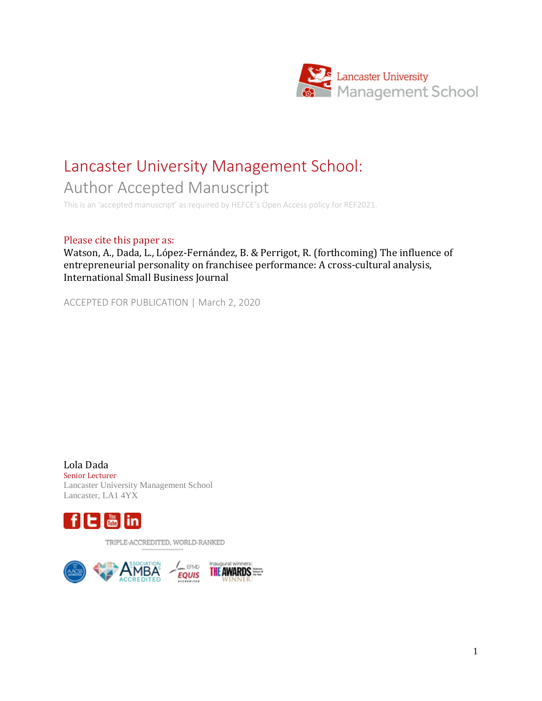

# Lancaster University Management School:

Author Accepted Manuscript

This is an 'accepted manuscript' as required by HEFCE's Open Access policy for REF2021.

#### Please cite this paper as:

Watson, A., Dada, L., López-Fernández, B. & Perrigot, R. (forthcoming) The influence of entrepreneurial personality on franchisee performance: A cross-cultural analysis, International Small Business Journal

ACCEPTED FOR PUBLICATION | March 2, 2020

Lola Dada Senior Lecturer Lancaster University Management School Lancaster, LA1 4YX



TRIPLE-ACCREDITED, WORLD-RANKED

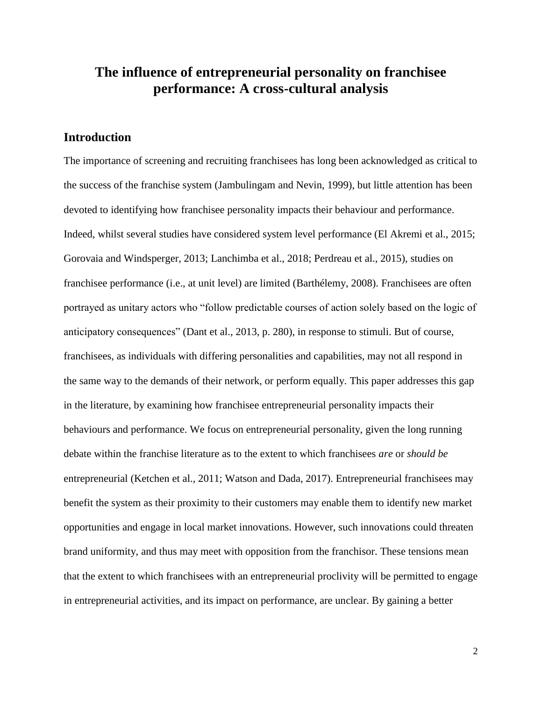# **The influence of entrepreneurial personality on franchisee performance: A cross-cultural analysis**

## **Introduction**

The importance of screening and recruiting franchisees has long been acknowledged as critical to the success of the franchise system (Jambulingam and Nevin, 1999), but little attention has been devoted to identifying how franchisee personality impacts their behaviour and performance. Indeed, whilst several studies have considered system level performance (El Akremi et al., 2015; Gorovaia and Windsperger, 2013; Lanchimba et al., 2018; Perdreau et al., 2015), studies on franchisee performance (i.e., at unit level) are limited (Barthélemy, 2008). Franchisees are often portrayed as unitary actors who "follow predictable courses of action solely based on the logic of anticipatory consequences" (Dant et al., 2013, p. 280), in response to stimuli. But of course, franchisees, as individuals with differing personalities and capabilities, may not all respond in the same way to the demands of their network, or perform equally. This paper addresses this gap in the literature, by examining how franchisee entrepreneurial personality impacts their behaviours and performance. We focus on entrepreneurial personality, given the long running debate within the franchise literature as to the extent to which franchisees *are* or *should be* entrepreneurial (Ketchen et al., 2011; Watson and Dada, 2017). Entrepreneurial franchisees may benefit the system as their proximity to their customers may enable them to identify new market opportunities and engage in local market innovations. However, such innovations could threaten brand uniformity, and thus may meet with opposition from the franchisor. These tensions mean that the extent to which franchisees with an entrepreneurial proclivity will be permitted to engage in entrepreneurial activities, and its impact on performance, are unclear. By gaining a better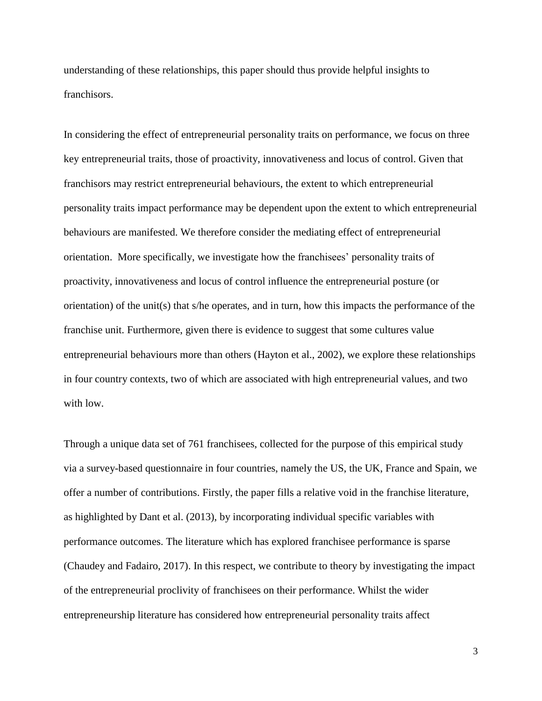understanding of these relationships, this paper should thus provide helpful insights to franchisors.

In considering the effect of entrepreneurial personality traits on performance, we focus on three key entrepreneurial traits, those of proactivity, innovativeness and locus of control. Given that franchisors may restrict entrepreneurial behaviours, the extent to which entrepreneurial personality traits impact performance may be dependent upon the extent to which entrepreneurial behaviours are manifested. We therefore consider the mediating effect of entrepreneurial orientation. More specifically, we investigate how the franchisees' personality traits of proactivity, innovativeness and locus of control influence the entrepreneurial posture (or orientation) of the unit(s) that s/he operates, and in turn, how this impacts the performance of the franchise unit. Furthermore, given there is evidence to suggest that some cultures value entrepreneurial behaviours more than others (Hayton et al., 2002), we explore these relationships in four country contexts, two of which are associated with high entrepreneurial values, and two with low.

Through a unique data set of 761 franchisees, collected for the purpose of this empirical study via a survey-based questionnaire in four countries, namely the US, the UK, France and Spain, we offer a number of contributions. Firstly, the paper fills a relative void in the franchise literature, as highlighted by Dant et al. (2013), by incorporating individual specific variables with performance outcomes. The literature which has explored franchisee performance is sparse (Chaudey and Fadairo, 2017). In this respect, we contribute to theory by investigating the impact of the entrepreneurial proclivity of franchisees on their performance. Whilst the wider entrepreneurship literature has considered how entrepreneurial personality traits affect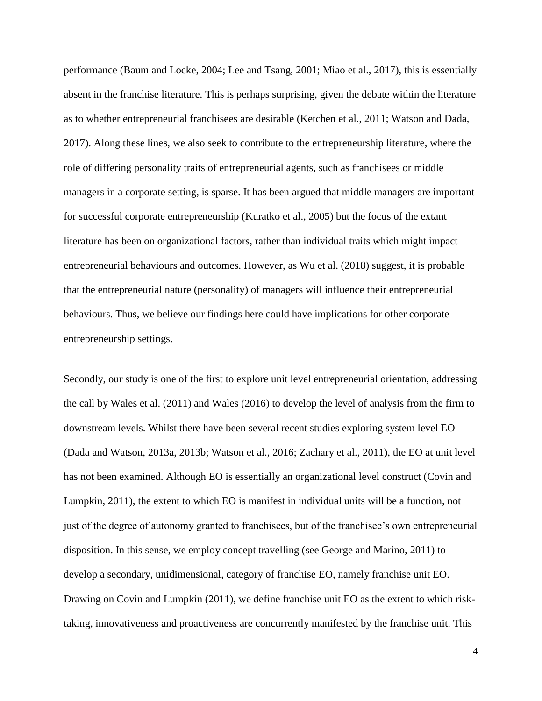performance (Baum and Locke, 2004; Lee and Tsang, 2001; Miao et al., 2017), this is essentially absent in the franchise literature. This is perhaps surprising, given the debate within the literature as to whether entrepreneurial franchisees are desirable (Ketchen et al., 2011; Watson and Dada, 2017). Along these lines, we also seek to contribute to the entrepreneurship literature, where the role of differing personality traits of entrepreneurial agents, such as franchisees or middle managers in a corporate setting, is sparse. It has been argued that middle managers are important for successful corporate entrepreneurship (Kuratko et al., 2005) but the focus of the extant literature has been on organizational factors, rather than individual traits which might impact entrepreneurial behaviours and outcomes. However, as Wu et al. (2018) suggest, it is probable that the entrepreneurial nature (personality) of managers will influence their entrepreneurial behaviours. Thus, we believe our findings here could have implications for other corporate entrepreneurship settings.

Secondly, our study is one of the first to explore unit level entrepreneurial orientation, addressing the call by Wales et al. (2011) and Wales (2016) to develop the level of analysis from the firm to downstream levels. Whilst there have been several recent studies exploring system level EO (Dada and Watson, 2013a, 2013b; Watson et al., 2016; Zachary et al., 2011), the EO at unit level has not been examined. Although EO is essentially an organizational level construct (Covin and Lumpkin, 2011), the extent to which EO is manifest in individual units will be a function, not just of the degree of autonomy granted to franchisees, but of the franchisee's own entrepreneurial disposition. In this sense, we employ concept travelling (see George and Marino, 2011) to develop a secondary, unidimensional, category of franchise EO, namely franchise unit EO. Drawing on Covin and Lumpkin (2011), we define franchise unit EO as the extent to which risktaking, innovativeness and proactiveness are concurrently manifested by the franchise unit. This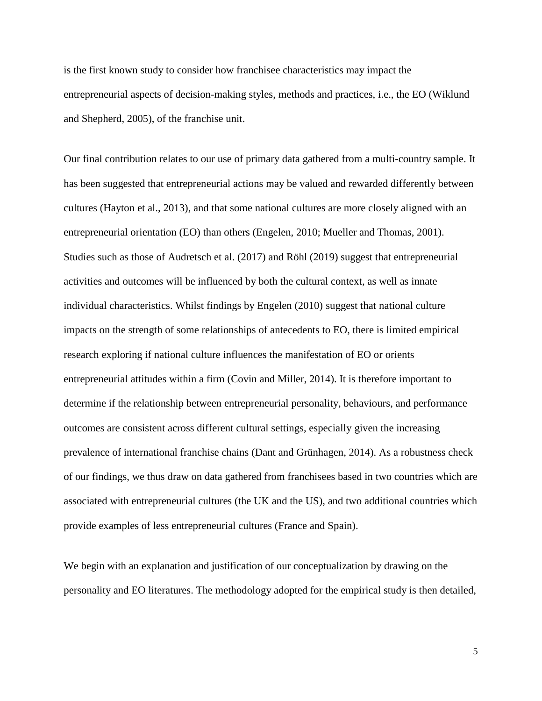is the first known study to consider how franchisee characteristics may impact the entrepreneurial aspects of decision-making styles, methods and practices, i.e., the EO (Wiklund and Shepherd, 2005), of the franchise unit.

Our final contribution relates to our use of primary data gathered from a multi-country sample. It has been suggested that entrepreneurial actions may be valued and rewarded differently between cultures (Hayton et al., 2013), and that some national cultures are more closely aligned with an entrepreneurial orientation (EO) than others (Engelen, 2010; Mueller and Thomas, 2001). Studies such as those of Audretsch et al. (2017) and Röhl (2019) suggest that entrepreneurial activities and outcomes will be influenced by both the cultural context, as well as innate individual characteristics. Whilst findings by Engelen (2010) suggest that national culture impacts on the strength of some relationships of antecedents to EO, there is limited empirical research exploring if national culture influences the manifestation of EO or orients entrepreneurial attitudes within a firm (Covin and Miller, 2014). It is therefore important to determine if the relationship between entrepreneurial personality, behaviours, and performance outcomes are consistent across different cultural settings, especially given the increasing prevalence of international franchise chains (Dant and Grünhagen, 2014). As a robustness check of our findings, we thus draw on data gathered from franchisees based in two countries which are associated with entrepreneurial cultures (the UK and the US), and two additional countries which provide examples of less entrepreneurial cultures (France and Spain).

We begin with an explanation and justification of our conceptualization by drawing on the personality and EO literatures. The methodology adopted for the empirical study is then detailed,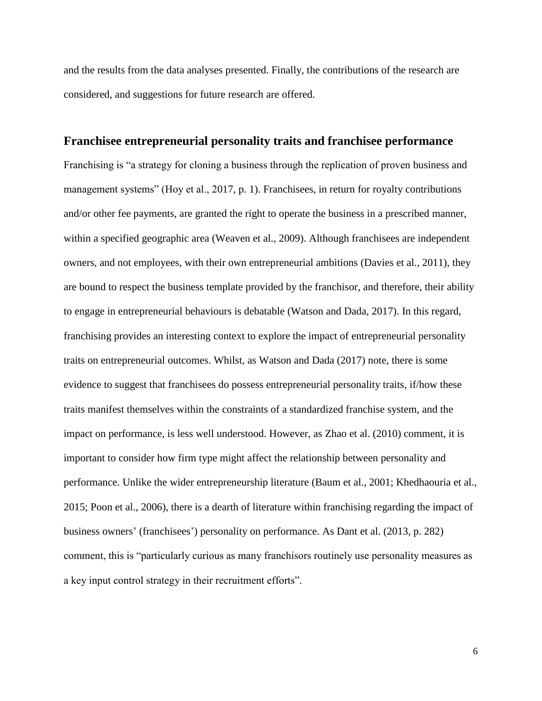and the results from the data analyses presented. Finally, the contributions of the research are considered, and suggestions for future research are offered.

#### **Franchisee entrepreneurial personality traits and franchisee performance**

Franchising is "a strategy for cloning a business through the replication of proven business and management systems" (Hoy et al., 2017, p. 1). Franchisees, in return for royalty contributions and/or other fee payments, are granted the right to operate the business in a prescribed manner, within a specified geographic area (Weaven et al., 2009). Although franchisees are independent owners, and not employees, with their own entrepreneurial ambitions (Davies et al., 2011), they are bound to respect the business template provided by the franchisor, and therefore, their ability to engage in entrepreneurial behaviours is debatable (Watson and Dada, 2017). In this regard, franchising provides an interesting context to explore the impact of entrepreneurial personality traits on entrepreneurial outcomes. Whilst, as Watson and Dada (2017) note, there is some evidence to suggest that franchisees do possess entrepreneurial personality traits, if/how these traits manifest themselves within the constraints of a standardized franchise system, and the impact on performance, is less well understood. However, as Zhao et al. (2010) comment, it is important to consider how firm type might affect the relationship between personality and performance. Unlike the wider entrepreneurship literature (Baum et al., 2001; Khedhaouria et al., 2015; Poon et al., 2006), there is a dearth of literature within franchising regarding the impact of business owners' (franchisees') personality on performance. As Dant et al. (2013, p. 282) comment, this is "particularly curious as many franchisors routinely use personality measures as a key input control strategy in their recruitment efforts".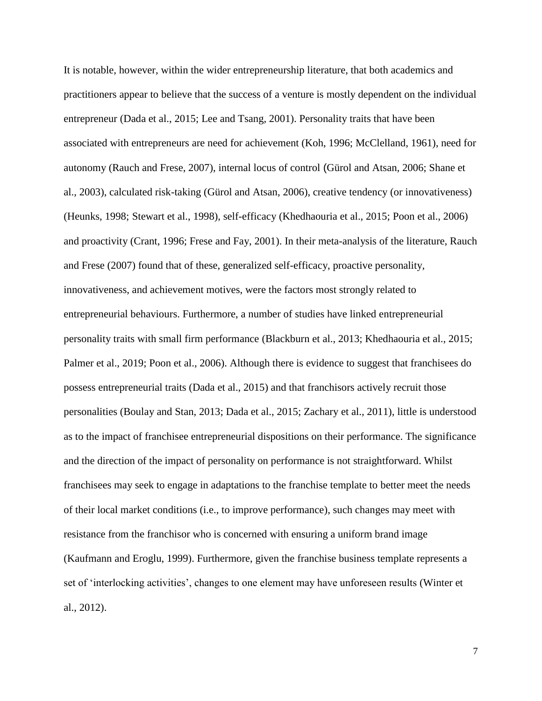It is notable, however, within the wider entrepreneurship literature, that both academics and practitioners appear to believe that the success of a venture is mostly dependent on the individual entrepreneur (Dada et al., 2015; Lee and Tsang, 2001). Personality traits that have been associated with entrepreneurs are need for achievement (Koh, 1996; McClelland, 1961), need for autonomy (Rauch and Frese, 2007), internal locus of control (Gürol and Atsan, 2006; Shane et al., 2003), calculated risk-taking (Gürol and Atsan, 2006), creative tendency (or innovativeness) (Heunks, 1998; Stewart et al., 1998), self-efficacy (Khedhaouria et al., 2015; Poon et al., 2006) and proactivity (Crant, 1996; Frese and Fay, 2001). In their meta-analysis of the literature, Rauch and Frese (2007) found that of these, generalized self-efficacy, proactive personality, innovativeness, and achievement motives, were the factors most strongly related to entrepreneurial behaviours. Furthermore, a number of studies have linked entrepreneurial personality traits with small firm performance (Blackburn et al., 2013; Khedhaouria et al., 2015; Palmer et al., 2019; Poon et al., 2006). Although there is evidence to suggest that franchisees do possess entrepreneurial traits (Dada et al., 2015) and that franchisors actively recruit those personalities (Boulay and Stan, 2013; Dada et al., 2015; Zachary et al., 2011), little is understood as to the impact of franchisee entrepreneurial dispositions on their performance. The significance and the direction of the impact of personality on performance is not straightforward. Whilst franchisees may seek to engage in adaptations to the franchise template to better meet the needs of their local market conditions (i.e., to improve performance), such changes may meet with resistance from the franchisor who is concerned with ensuring a uniform brand image (Kaufmann and Eroglu, 1999). Furthermore, given the franchise business template represents a set of 'interlocking activities', changes to one element may have unforeseen results (Winter et al., 2012).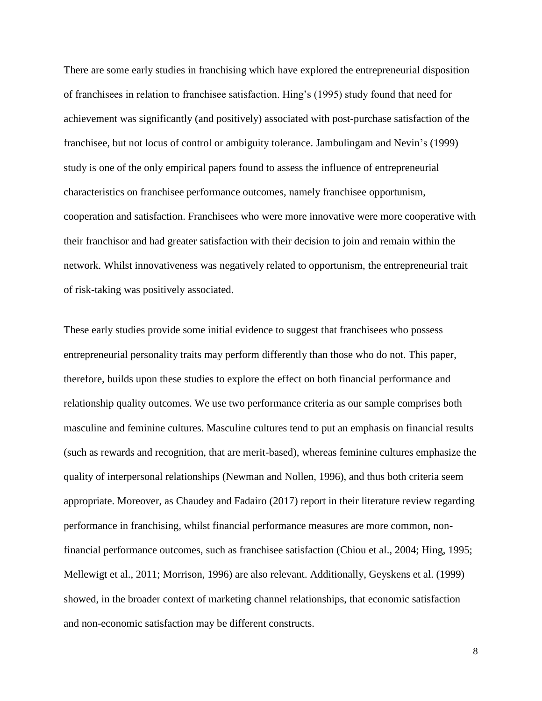There are some early studies in franchising which have explored the entrepreneurial disposition of franchisees in relation to franchisee satisfaction. Hing's (1995) study found that need for achievement was significantly (and positively) associated with post-purchase satisfaction of the franchisee, but not locus of control or ambiguity tolerance. Jambulingam and Nevin's (1999) study is one of the only empirical papers found to assess the influence of entrepreneurial characteristics on franchisee performance outcomes, namely franchisee opportunism, cooperation and satisfaction. Franchisees who were more innovative were more cooperative with their franchisor and had greater satisfaction with their decision to join and remain within the network. Whilst innovativeness was negatively related to opportunism, the entrepreneurial trait of risk-taking was positively associated.

These early studies provide some initial evidence to suggest that franchisees who possess entrepreneurial personality traits may perform differently than those who do not. This paper, therefore, builds upon these studies to explore the effect on both financial performance and relationship quality outcomes. We use two performance criteria as our sample comprises both masculine and feminine cultures. Masculine cultures tend to put an emphasis on financial results (such as rewards and recognition, that are merit-based), whereas feminine cultures emphasize the quality of interpersonal relationships (Newman and Nollen, 1996), and thus both criteria seem appropriate. Moreover, as Chaudey and Fadairo (2017) report in their literature review regarding performance in franchising, whilst financial performance measures are more common, nonfinancial performance outcomes, such as franchisee satisfaction (Chiou et al., 2004; Hing, 1995; Mellewigt et al., 2011; Morrison, 1996) are also relevant. Additionally, Geyskens et al. (1999) showed, in the broader context of marketing channel relationships, that economic satisfaction and non-economic satisfaction may be different constructs.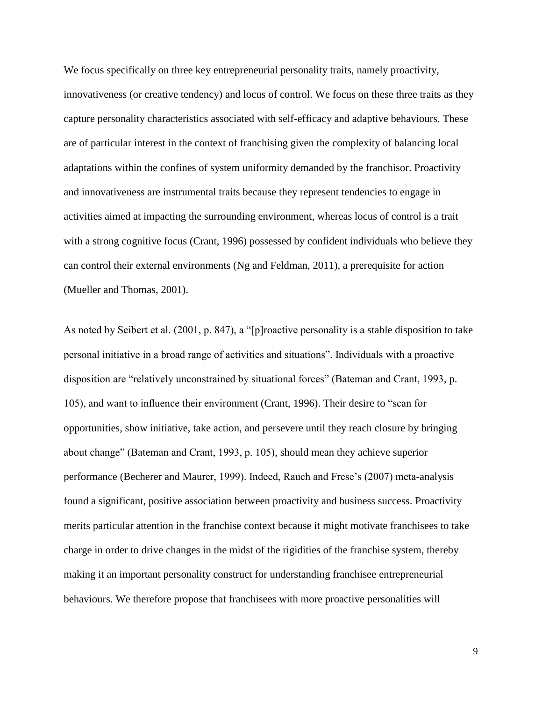We focus specifically on three key entrepreneurial personality traits, namely proactivity, innovativeness (or creative tendency) and locus of control. We focus on these three traits as they capture personality characteristics associated with self-efficacy and adaptive behaviours. These are of particular interest in the context of franchising given the complexity of balancing local adaptations within the confines of system uniformity demanded by the franchisor. Proactivity and innovativeness are instrumental traits because they represent tendencies to engage in activities aimed at impacting the surrounding environment, whereas locus of control is a trait with a strong cognitive focus (Crant, 1996) possessed by confident individuals who believe they can control their external environments (Ng and Feldman, 2011), a prerequisite for action (Mueller and Thomas, 2001).

As noted by Seibert et al. (2001, p. 847), a "[p]roactive personality is a stable disposition to take personal initiative in a broad range of activities and situations". Individuals with a proactive disposition are "relatively unconstrained by situational forces" (Bateman and Crant, 1993, p. 105), and want to influence their environment (Crant, 1996). Their desire to "scan for opportunities, show initiative, take action, and persevere until they reach closure by bringing about change" (Bateman and Crant, 1993, p. 105), should mean they achieve superior performance (Becherer and Maurer, 1999). Indeed, Rauch and Frese's (2007) meta-analysis found a significant, positive association between proactivity and business success. Proactivity merits particular attention in the franchise context because it might motivate franchisees to take charge in order to drive changes in the midst of the rigidities of the franchise system, thereby making it an important personality construct for understanding franchisee entrepreneurial behaviours. We therefore propose that franchisees with more proactive personalities will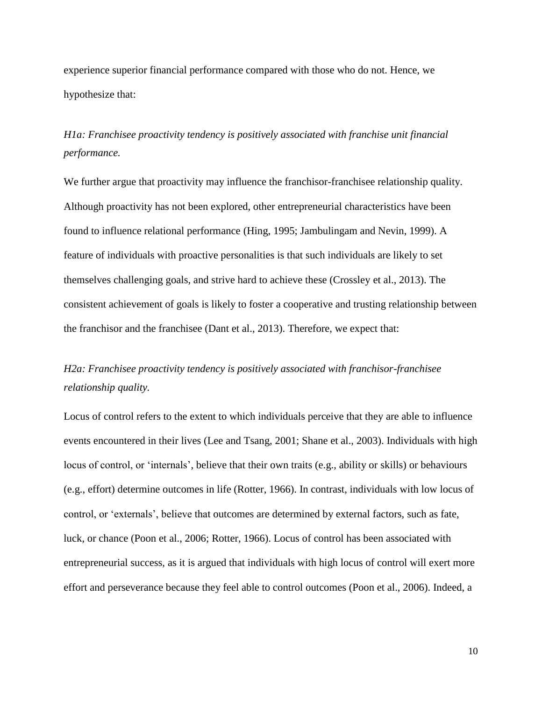experience superior financial performance compared with those who do not. Hence, we hypothesize that:

*H1a: Franchisee proactivity tendency is positively associated with franchise unit financial performance.*

We further argue that proactivity may influence the franchisor-franchisee relationship quality. Although proactivity has not been explored, other entrepreneurial characteristics have been found to influence relational performance (Hing, 1995; Jambulingam and Nevin, 1999). A feature of individuals with proactive personalities is that such individuals are likely to set themselves challenging goals, and strive hard to achieve these (Crossley et al., 2013). The consistent achievement of goals is likely to foster a cooperative and trusting relationship between the franchisor and the franchisee (Dant et al., 2013). Therefore, we expect that:

# *H2a: Franchisee proactivity tendency is positively associated with franchisor-franchisee relationship quality.*

Locus of control refers to the extent to which individuals perceive that they are able to influence events encountered in their lives (Lee and Tsang, 2001; Shane et al., 2003). Individuals with high locus of control, or 'internals', believe that their own traits (e.g., ability or skills) or behaviours (e.g., effort) determine outcomes in life (Rotter, 1966). In contrast, individuals with low locus of control, or 'externals', believe that outcomes are determined by external factors, such as fate, luck, or chance (Poon et al., 2006; Rotter, 1966). Locus of control has been associated with entrepreneurial success, as it is argued that individuals with high locus of control will exert more effort and perseverance because they feel able to control outcomes (Poon et al., 2006). Indeed, a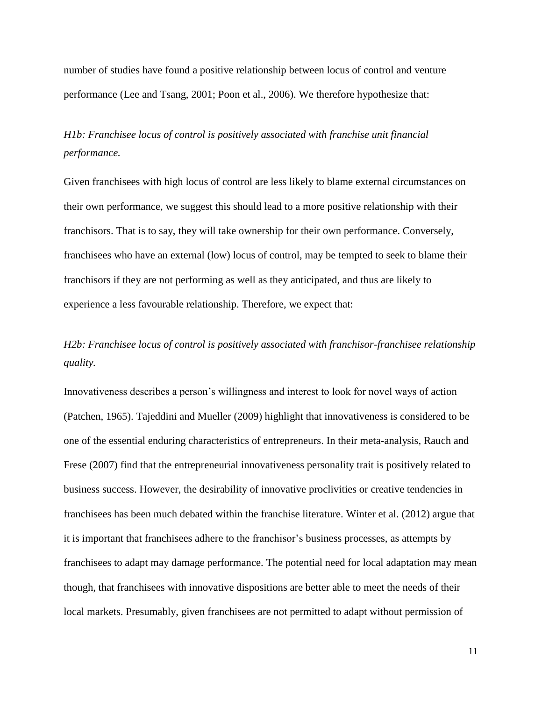number of studies have found a positive relationship between locus of control and venture performance (Lee and Tsang, 2001; Poon et al., 2006). We therefore hypothesize that:

*H1b: Franchisee locus of control is positively associated with franchise unit financial performance.*

Given franchisees with high locus of control are less likely to blame external circumstances on their own performance, we suggest this should lead to a more positive relationship with their franchisors. That is to say, they will take ownership for their own performance. Conversely, franchisees who have an external (low) locus of control, may be tempted to seek to blame their franchisors if they are not performing as well as they anticipated, and thus are likely to experience a less favourable relationship. Therefore, we expect that:

*H2b: Franchisee locus of control is positively associated with franchisor-franchisee relationship quality.*

Innovativeness describes a person's willingness and interest to look for novel ways of action (Patchen, 1965). Tajeddini and Mueller (2009) highlight that innovativeness is considered to be one of the essential enduring characteristics of entrepreneurs. In their meta-analysis, Rauch and Frese (2007) find that the entrepreneurial innovativeness personality trait is positively related to business success. However, the desirability of innovative proclivities or creative tendencies in franchisees has been much debated within the franchise literature. Winter et al. (2012) argue that it is important that franchisees adhere to the franchisor's business processes, as attempts by franchisees to adapt may damage performance. The potential need for local adaptation may mean though, that franchisees with innovative dispositions are better able to meet the needs of their local markets. Presumably, given franchisees are not permitted to adapt without permission of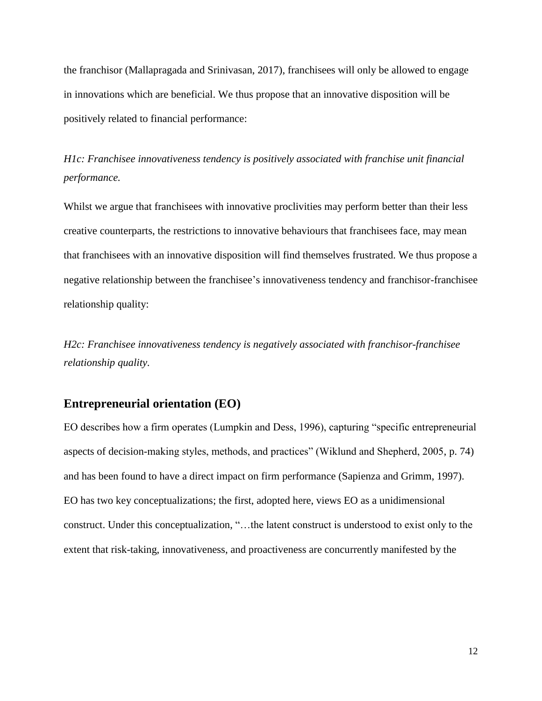the franchisor (Mallapragada and Srinivasan, 2017), franchisees will only be allowed to engage in innovations which are beneficial. We thus propose that an innovative disposition will be positively related to financial performance:

*H1c: Franchisee innovativeness tendency is positively associated with franchise unit financial performance.*

Whilst we argue that franchisees with innovative proclivities may perform better than their less creative counterparts, the restrictions to innovative behaviours that franchisees face, may mean that franchisees with an innovative disposition will find themselves frustrated. We thus propose a negative relationship between the franchisee's innovativeness tendency and franchisor-franchisee relationship quality:

*H2c: Franchisee innovativeness tendency is negatively associated with franchisor-franchisee relationship quality.*

#### **Entrepreneurial orientation (EO)**

EO describes how a firm operates (Lumpkin and Dess, 1996), capturing "specific entrepreneurial aspects of decision-making styles, methods, and practices" (Wiklund and Shepherd, 2005, p. 74) and has been found to have a direct impact on firm performance (Sapienza and Grimm, 1997). EO has two key conceptualizations; the first, adopted here, views EO as a unidimensional construct. Under this conceptualization, "…the latent construct is understood to exist only to the extent that risk-taking, innovativeness, and proactiveness are concurrently manifested by the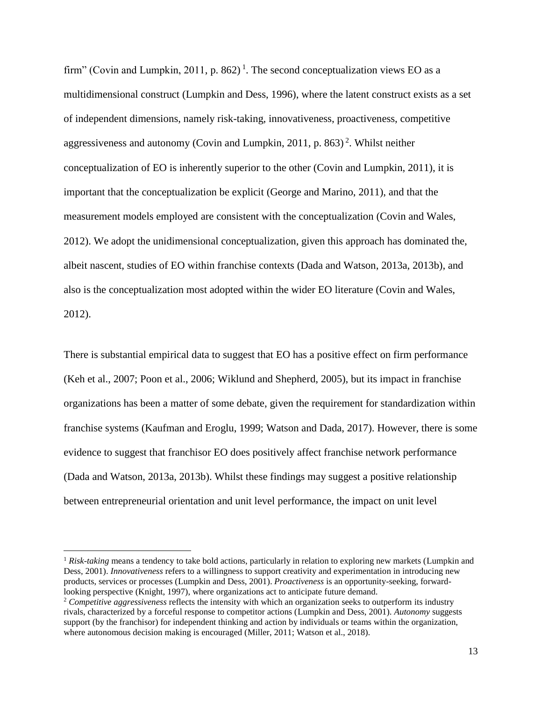firm" (Covin and Lumpkin, 2011, p. 862)<sup>1</sup>. The second conceptualization views EO as a multidimensional construct (Lumpkin and Dess, 1996), where the latent construct exists as a set of independent dimensions, namely risk-taking, innovativeness, proactiveness, competitive aggressiveness and autonomy (Covin and Lumpkin, 2011, p. 863)<sup>2</sup>. Whilst neither conceptualization of EO is inherently superior to the other (Covin and Lumpkin, 2011), it is important that the conceptualization be explicit (George and Marino, 2011), and that the measurement models employed are consistent with the conceptualization (Covin and Wales, 2012). We adopt the unidimensional conceptualization, given this approach has dominated the, albeit nascent, studies of EO within franchise contexts (Dada and Watson, 2013a, 2013b), and also is the conceptualization most adopted within the wider EO literature (Covin and Wales, 2012).

There is substantial empirical data to suggest that EO has a positive effect on firm performance (Keh et al., 2007; Poon et al., 2006; Wiklund and Shepherd, 2005), but its impact in franchise organizations has been a matter of some debate, given the requirement for standardization within franchise systems (Kaufman and Eroglu, 1999; Watson and Dada, 2017). However, there is some evidence to suggest that franchisor EO does positively affect franchise network performance (Dada and Watson, 2013a, 2013b). Whilst these findings may suggest a positive relationship between entrepreneurial orientation and unit level performance, the impact on unit level

 $\overline{a}$ 

<sup>1</sup> *Risk-taking* means a tendency to take bold actions, particularly in relation to exploring new markets (Lumpkin and Dess, 2001). *Innovativeness* refers to a willingness to support creativity and experimentation in introducing new products, services or processes (Lumpkin and Dess, 2001). *Proactiveness* is an opportunity-seeking, forwardlooking perspective (Knight, 1997), where organizations act to anticipate future demand.

<sup>2</sup> *Competitive aggressiveness* reflects the intensity with which an organization seeks to outperform its industry rivals, characterized by a forceful response to competitor actions (Lumpkin and Dess, 2001). *Autonomy* suggests support (by the franchisor) for independent thinking and action by individuals or teams within the organization, where autonomous decision making is encouraged (Miller, 2011; Watson et al., 2018).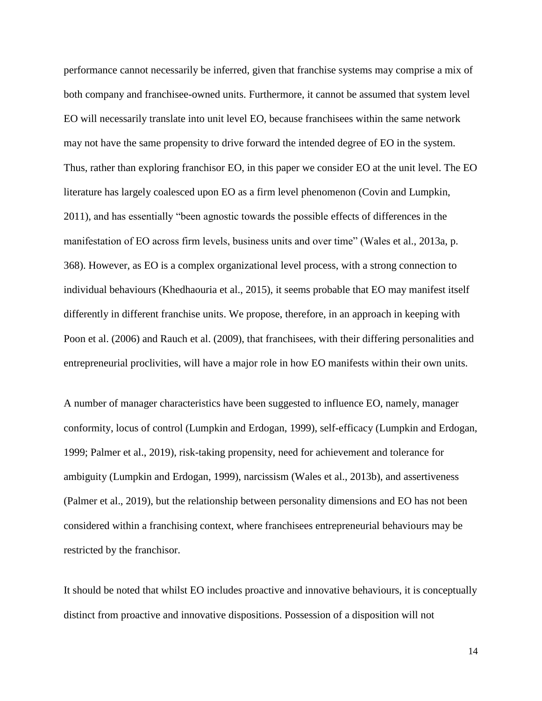performance cannot necessarily be inferred, given that franchise systems may comprise a mix of both company and franchisee-owned units. Furthermore, it cannot be assumed that system level EO will necessarily translate into unit level EO, because franchisees within the same network may not have the same propensity to drive forward the intended degree of EO in the system. Thus, rather than exploring franchisor EO, in this paper we consider EO at the unit level. The EO literature has largely coalesced upon EO as a firm level phenomenon (Covin and Lumpkin, 2011), and has essentially "been agnostic towards the possible effects of differences in the manifestation of EO across firm levels, business units and over time" (Wales et al., 2013a, p. 368). However, as EO is a complex organizational level process, with a strong connection to individual behaviours (Khedhaouria et al., 2015), it seems probable that EO may manifest itself differently in different franchise units. We propose, therefore, in an approach in keeping with Poon et al. (2006) and Rauch et al. (2009), that franchisees, with their differing personalities and entrepreneurial proclivities, will have a major role in how EO manifests within their own units.

A number of manager characteristics have been suggested to influence EO, namely, manager conformity, locus of control (Lumpkin and Erdogan, 1999), self-efficacy (Lumpkin and Erdogan, 1999; Palmer et al., 2019), risk-taking propensity, need for achievement and tolerance for ambiguity (Lumpkin and Erdogan, 1999), narcissism (Wales et al., 2013b), and assertiveness (Palmer et al., 2019), but the relationship between personality dimensions and EO has not been considered within a franchising context, where franchisees entrepreneurial behaviours may be restricted by the franchisor.

It should be noted that whilst EO includes proactive and innovative behaviours, it is conceptually distinct from proactive and innovative dispositions. Possession of a disposition will not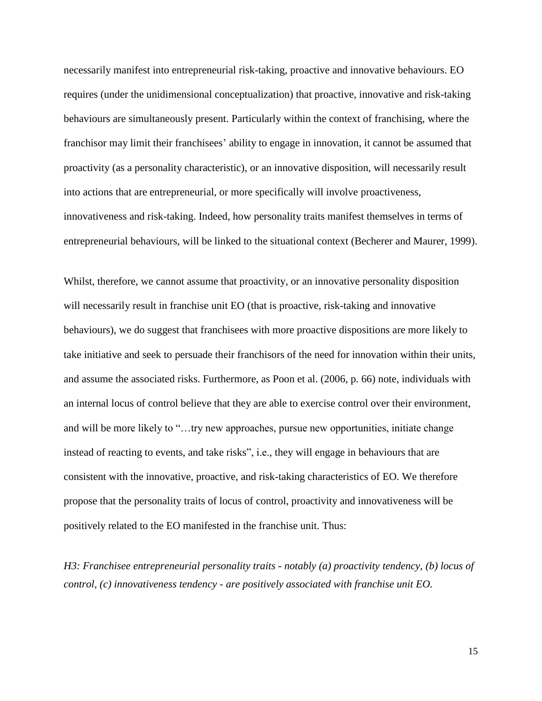necessarily manifest into entrepreneurial risk-taking, proactive and innovative behaviours. EO requires (under the unidimensional conceptualization) that proactive, innovative and risk-taking behaviours are simultaneously present. Particularly within the context of franchising, where the franchisor may limit their franchisees' ability to engage in innovation, it cannot be assumed that proactivity (as a personality characteristic), or an innovative disposition, will necessarily result into actions that are entrepreneurial, or more specifically will involve proactiveness, innovativeness and risk-taking. Indeed, how personality traits manifest themselves in terms of entrepreneurial behaviours, will be linked to the situational context (Becherer and Maurer, 1999).

Whilst, therefore, we cannot assume that proactivity, or an innovative personality disposition will necessarily result in franchise unit EO (that is proactive, risk-taking and innovative behaviours), we do suggest that franchisees with more proactive dispositions are more likely to take initiative and seek to persuade their franchisors of the need for innovation within their units, and assume the associated risks. Furthermore, as Poon et al. (2006, p. 66) note, individuals with an internal locus of control believe that they are able to exercise control over their environment, and will be more likely to "…try new approaches, pursue new opportunities, initiate change instead of reacting to events, and take risks", i.e., they will engage in behaviours that are consistent with the innovative, proactive, and risk-taking characteristics of EO. We therefore propose that the personality traits of locus of control, proactivity and innovativeness will be positively related to the EO manifested in the franchise unit. Thus:

*H3: Franchisee entrepreneurial personality traits - notably (a) proactivity tendency, (b) locus of control, (c) innovativeness tendency - are positively associated with franchise unit EO.*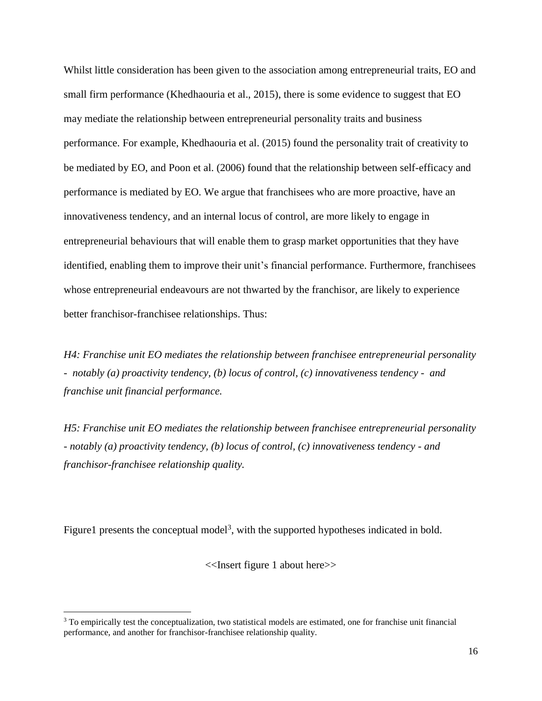Whilst little consideration has been given to the association among entrepreneurial traits, EO and small firm performance (Khedhaouria et al., 2015), there is some evidence to suggest that EO may mediate the relationship between entrepreneurial personality traits and business performance. For example, Khedhaouria et al. (2015) found the personality trait of creativity to be mediated by EO, and Poon et al. (2006) found that the relationship between self-efficacy and performance is mediated by EO. We argue that franchisees who are more proactive, have an innovativeness tendency, and an internal locus of control, are more likely to engage in entrepreneurial behaviours that will enable them to grasp market opportunities that they have identified, enabling them to improve their unit's financial performance. Furthermore, franchisees whose entrepreneurial endeavours are not thwarted by the franchisor, are likely to experience better franchisor-franchisee relationships. Thus:

*H4: Franchise unit EO mediates the relationship between franchisee entrepreneurial personality - notably (a) proactivity tendency, (b) locus of control, (c) innovativeness tendency - and franchise unit financial performance.*

*H5: Franchise unit EO mediates the relationship between franchisee entrepreneurial personality - notably (a) proactivity tendency, (b) locus of control, (c) innovativeness tendency - and franchisor-franchisee relationship quality.*

Figure1 presents the conceptual model<sup>3</sup>, with the supported hypotheses indicated in bold.

<<Insert figure 1 about here>>

 $\overline{a}$ 

<sup>&</sup>lt;sup>3</sup> To empirically test the conceptualization, two statistical models are estimated, one for franchise unit financial performance, and another for franchisor-franchisee relationship quality.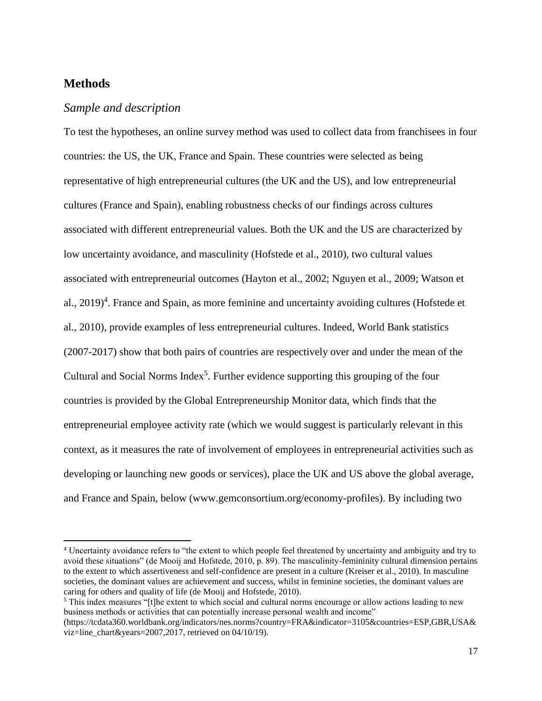## **Methods**

 $\overline{a}$ 

#### *Sample and description*

To test the hypotheses, an online survey method was used to collect data from franchisees in four countries: the US, the UK, France and Spain. These countries were selected as being representative of high entrepreneurial cultures (the UK and the US), and low entrepreneurial cultures (France and Spain), enabling robustness checks of our findings across cultures associated with different entrepreneurial values. Both the UK and the US are characterized by low uncertainty avoidance, and masculinity (Hofstede et al., 2010), two cultural values associated with entrepreneurial outcomes (Hayton et al., 2002; Nguyen et al., 2009; Watson et al., 2019)<sup>4</sup>. France and Spain, as more feminine and uncertainty avoiding cultures (Hofstede et al., 2010), provide examples of less entrepreneurial cultures. Indeed, World Bank statistics (2007-2017) show that both pairs of countries are respectively over and under the mean of the Cultural and Social Norms Index<sup>5</sup>. Further evidence supporting this grouping of the four countries is provided by the Global Entrepreneurship Monitor data, which finds that the entrepreneurial employee activity rate (which we would suggest is particularly relevant in this context, as it measures the rate of involvement of employees in entrepreneurial activities such as developing or launching new goods or services), place the UK and US above the global average, and France and Spain, below (www.gemconsortium.org/economy-profiles). By including two

<sup>4</sup> Uncertainty avoidance refers to "the extent to which people feel threatened by uncertainty and ambiguity and try to avoid these situations" (de Mooij and Hofstede, 2010, p. 89). The masculinity-femininity cultural dimension pertains to the extent to which assertiveness and self-confidence are present in a culture (Kreiser et al., 2010). In masculine societies, the dominant values are achievement and success, whilst in feminine societies, the dominant values are caring for others and quality of life (de Mooij and Hofstede, 2010).

<sup>&</sup>lt;sup>5</sup> This index measures "[t]he extent to which social and cultural norms encourage or allow actions leading to new business methods or activities that can potentially increase personal wealth and income"

<sup>(</sup>https://tcdata360.worldbank.org/indicators/nes.norms?country=FRA&indicator=3105&countries=ESP,GBR,USA& viz=line\_chart&years=2007,2017, retrieved on 04/10/19).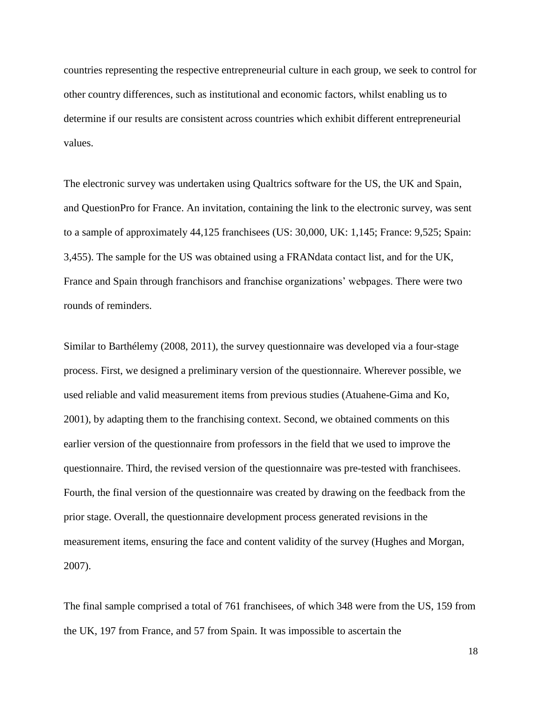countries representing the respective entrepreneurial culture in each group, we seek to control for other country differences, such as institutional and economic factors, whilst enabling us to determine if our results are consistent across countries which exhibit different entrepreneurial values.

The electronic survey was undertaken using Qualtrics software for the US, the UK and Spain, and QuestionPro for France. An invitation, containing the link to the electronic survey, was sent to a sample of approximately 44,125 franchisees (US: 30,000, UK: 1,145; France: 9,525; Spain: 3,455). The sample for the US was obtained using a FRANdata contact list, and for the UK, France and Spain through franchisors and franchise organizations' webpages. There were two rounds of reminders.

Similar to Barthélemy (2008, 2011), the survey questionnaire was developed via a four-stage process. First, we designed a preliminary version of the questionnaire. Wherever possible, we used reliable and valid measurement items from previous studies (Atuahene-Gima and Ko, 2001), by adapting them to the franchising context. Second, we obtained comments on this earlier version of the questionnaire from professors in the field that we used to improve the questionnaire. Third, the revised version of the questionnaire was pre-tested with franchisees. Fourth, the final version of the questionnaire was created by drawing on the feedback from the prior stage. Overall, the questionnaire development process generated revisions in the measurement items, ensuring the face and content validity of the survey (Hughes and Morgan, 2007).

The final sample comprised a total of 761 franchisees, of which 348 were from the US, 159 from the UK, 197 from France, and 57 from Spain. It was impossible to ascertain the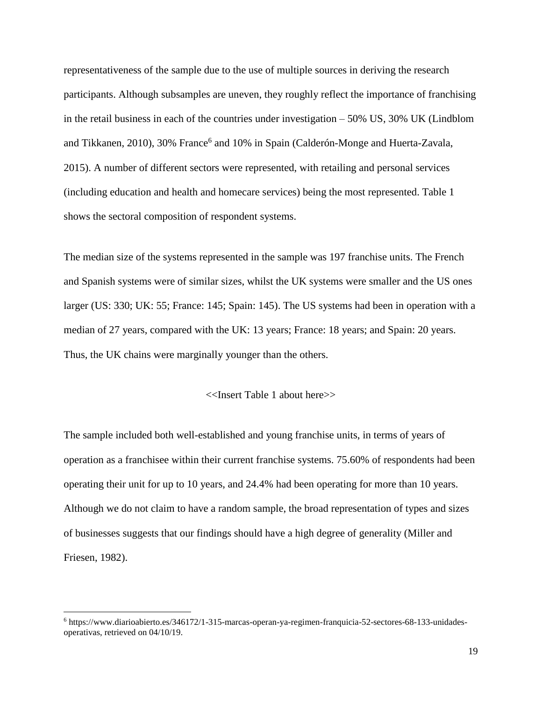representativeness of the sample due to the use of multiple sources in deriving the research participants. Although subsamples are uneven, they roughly reflect the importance of franchising in the retail business in each of the countries under investigation – 50% US, 30% UK (Lindblom and Tikkanen, 2010), 30% France<sup>6</sup> and 10% in Spain (Calderón-Monge and Huerta-Zavala, 2015). A number of different sectors were represented, with retailing and personal services (including education and health and homecare services) being the most represented. Table 1 shows the sectoral composition of respondent systems.

The median size of the systems represented in the sample was 197 franchise units. The French and Spanish systems were of similar sizes, whilst the UK systems were smaller and the US ones larger (US: 330; UK: 55; France: 145; Spain: 145). The US systems had been in operation with a median of 27 years, compared with the UK: 13 years; France: 18 years; and Spain: 20 years. Thus, the UK chains were marginally younger than the others.

#### <<Insert Table 1 about here>>

The sample included both well-established and young franchise units, in terms of years of operation as a franchisee within their current franchise systems. 75.60% of respondents had been operating their unit for up to 10 years, and 24.4% had been operating for more than 10 years. Although we do not claim to have a random sample, the broad representation of types and sizes of businesses suggests that our findings should have a high degree of generality (Miller and Friesen, 1982).

 $\overline{a}$ 

<sup>6</sup> https://www.diarioabierto.es/346172/1-315-marcas-operan-ya-regimen-franquicia-52-sectores-68-133-unidadesoperativas, retrieved on 04/10/19.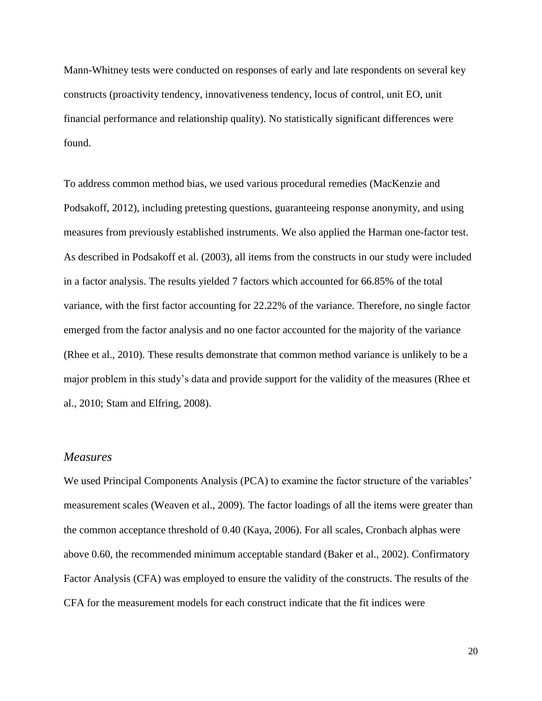Mann-Whitney tests were conducted on responses of early and late respondents on several key constructs (proactivity tendency, innovativeness tendency, locus of control, unit EO, unit financial performance and relationship quality). No statistically significant differences were found.

To address common method bias, we used various procedural remedies (MacKenzie and Podsakoff, 2012), including pretesting questions, guaranteeing response anonymity, and using measures from previously established instruments. We also applied the Harman one-factor test. As described in Podsakoff et al. (2003), all items from the constructs in our study were included in a factor analysis. The results yielded 7 factors which accounted for 66.85% of the total variance, with the first factor accounting for 22.22% of the variance. Therefore, no single factor emerged from the factor analysis and no one factor accounted for the majority of the variance (Rhee et al., 2010). These results demonstrate that common method variance is unlikely to be a major problem in this study's data and provide support for the validity of the measures (Rhee et al., 2010; Stam and Elfring, 2008).

### *Measures*

We used Principal Components Analysis (PCA) to examine the factor structure of the variables' measurement scales (Weaven et al., 2009). The factor loadings of all the items were greater than the common acceptance threshold of 0.40 (Kaya, 2006). For all scales, Cronbach alphas were above 0.60, the recommended minimum acceptable standard (Baker et al., 2002). Confirmatory Factor Analysis (CFA) was employed to ensure the validity of the constructs. The results of the CFA for the measurement models for each construct indicate that the fit indices were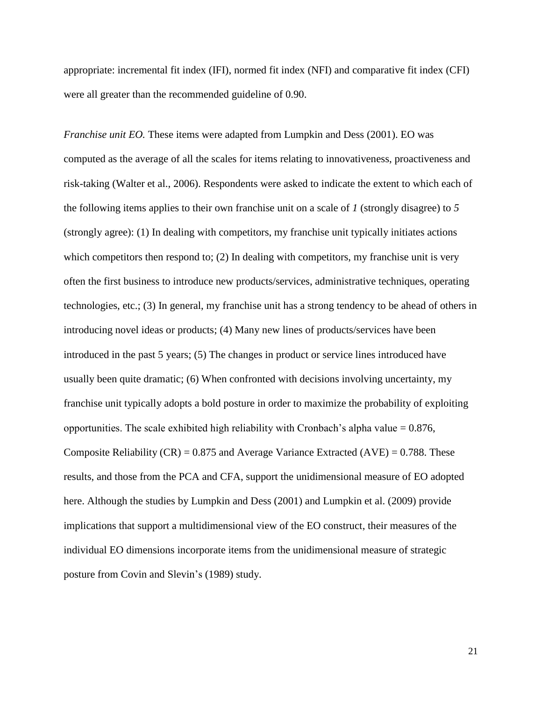appropriate: incremental fit index (IFI), normed fit index (NFI) and comparative fit index (CFI) were all greater than the recommended guideline of 0.90.

*Franchise unit EO.* These items were adapted from Lumpkin and Dess (2001). EO was computed as the average of all the scales for items relating to innovativeness, proactiveness and risk-taking (Walter et al., 2006). Respondents were asked to indicate the extent to which each of the following items applies to their own franchise unit on a scale of *1* (strongly disagree) to *5* (strongly agree): (1) In dealing with competitors, my franchise unit typically initiates actions which competitors then respond to; (2) In dealing with competitors, my franchise unit is very often the first business to introduce new products/services, administrative techniques, operating technologies, etc.; (3) In general, my franchise unit has a strong tendency to be ahead of others in introducing novel ideas or products; (4) Many new lines of products/services have been introduced in the past 5 years; (5) The changes in product or service lines introduced have usually been quite dramatic; (6) When confronted with decisions involving uncertainty, my franchise unit typically adopts a bold posture in order to maximize the probability of exploiting opportunities. The scale exhibited high reliability with Cronbach's alpha value  $= 0.876$ , Composite Reliability (CR) =  $0.875$  and Average Variance Extracted (AVE) =  $0.788$ . These results, and those from the PCA and CFA, support the unidimensional measure of EO adopted here. Although the studies by Lumpkin and Dess (2001) and Lumpkin et al. (2009) provide implications that support a multidimensional view of the EO construct, their measures of the individual EO dimensions incorporate items from the unidimensional measure of strategic posture from Covin and Slevin's (1989) study.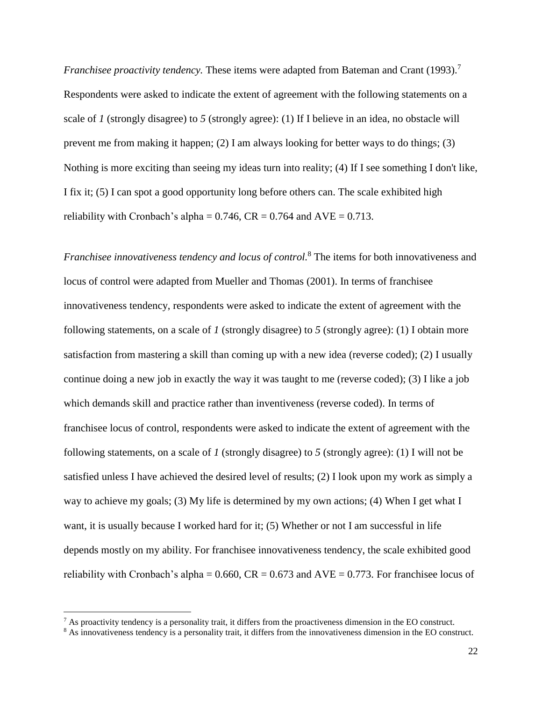*Franchisee proactivity tendency*. These items were adapted from Bateman and Crant (1993).<sup>7</sup> Respondents were asked to indicate the extent of agreement with the following statements on a scale of *1* (strongly disagree) to *5* (strongly agree): (1) If I believe in an idea, no obstacle will prevent me from making it happen; (2) I am always looking for better ways to do things; (3) Nothing is more exciting than seeing my ideas turn into reality; (4) If I see something I don't like, I fix it; (5) I can spot a good opportunity long before others can. The scale exhibited high reliability with Cronbach's alpha =  $0.746$ , CR =  $0.764$  and AVE =  $0.713$ .

*Franchisee innovativeness tendency and locus of control.* <sup>8</sup> The items for both innovativeness and locus of control were adapted from Mueller and Thomas (2001). In terms of franchisee innovativeness tendency, respondents were asked to indicate the extent of agreement with the following statements, on a scale of *1* (strongly disagree) to *5* (strongly agree): (1) I obtain more satisfaction from mastering a skill than coming up with a new idea (reverse coded); (2) I usually continue doing a new job in exactly the way it was taught to me (reverse coded); (3) I like a job which demands skill and practice rather than inventiveness (reverse coded). In terms of franchisee locus of control, respondents were asked to indicate the extent of agreement with the following statements, on a scale of *1* (strongly disagree) to *5* (strongly agree): (1) I will not be satisfied unless I have achieved the desired level of results; (2) I look upon my work as simply a way to achieve my goals; (3) My life is determined by my own actions; (4) When I get what I want, it is usually because I worked hard for it; (5) Whether or not I am successful in life depends mostly on my ability. For franchisee innovativeness tendency, the scale exhibited good reliability with Cronbach's alpha =  $0.660$ , CR =  $0.673$  and AVE =  $0.773$ . For franchise locus of

 $\overline{a}$ 

 $7$  As proactivity tendency is a personality trait, it differs from the proactiveness dimension in the EO construct.

<sup>&</sup>lt;sup>8</sup> As innovativeness tendency is a personality trait, it differs from the innovativeness dimension in the EO construct.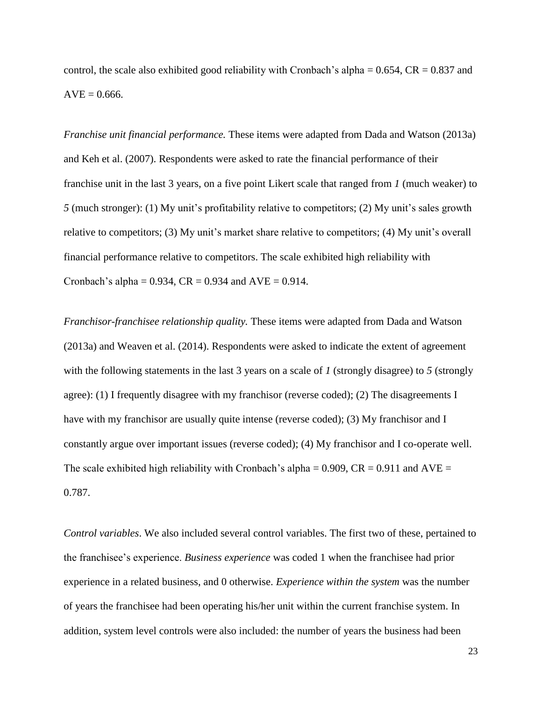control, the scale also exhibited good reliability with Cronbach's alpha  $= 0.654$ , CR  $= 0.837$  and  $AVE = 0.666$ .

*Franchise unit financial performance.* These items were adapted from Dada and Watson (2013a) and Keh et al. (2007). Respondents were asked to rate the financial performance of their franchise unit in the last 3 years, on a five point Likert scale that ranged from *1* (much weaker) to *5* (much stronger): (1) My unit's profitability relative to competitors; (2) My unit's sales growth relative to competitors; (3) My unit's market share relative to competitors; (4) My unit's overall financial performance relative to competitors. The scale exhibited high reliability with Cronbach's alpha =  $0.934$ , CR =  $0.934$  and AVE =  $0.914$ .

*Franchisor-franchisee relationship quality.* These items were adapted from Dada and Watson (2013a) and Weaven et al. (2014). Respondents were asked to indicate the extent of agreement with the following statements in the last 3 years on a scale of *1* (strongly disagree) to *5* (strongly agree): (1) I frequently disagree with my franchisor (reverse coded); (2) The disagreements I have with my franchisor are usually quite intense (reverse coded); (3) My franchisor and I constantly argue over important issues (reverse coded); (4) My franchisor and I co-operate well. The scale exhibited high reliability with Cronbach's alpha =  $0.909$ , CR =  $0.911$  and AVE = 0.787.

*Control variables*. We also included several control variables. The first two of these, pertained to the franchisee's experience. *Business experience* was coded 1 when the franchisee had prior experience in a related business, and 0 otherwise. *Experience within the system* was the number of years the franchisee had been operating his/her unit within the current franchise system. In addition, system level controls were also included: the number of years the business had been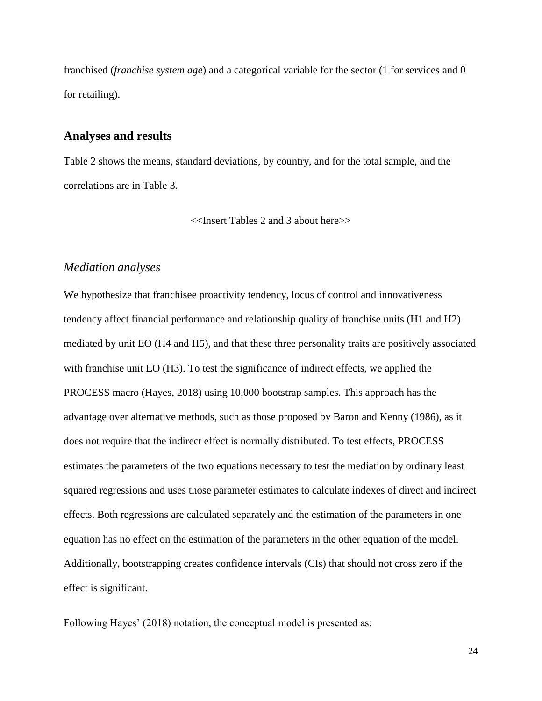franchised (*franchise system age*) and a categorical variable for the sector (1 for services and 0 for retailing).

#### **Analyses and results**

Table 2 shows the means, standard deviations, by country, and for the total sample, and the correlations are in Table 3.

<<Insert Tables 2 and 3 about here>>

#### *Mediation analyses*

We hypothesize that franchisee proactivity tendency, locus of control and innovativeness tendency affect financial performance and relationship quality of franchise units (H1 and H2) mediated by unit EO (H4 and H5), and that these three personality traits are positively associated with franchise unit EO (H3). To test the significance of indirect effects, we applied the PROCESS macro (Hayes, 2018) using 10,000 bootstrap samples. This approach has the advantage over alternative methods, such as those proposed by Baron and Kenny (1986), as it does not require that the indirect effect is normally distributed. To test effects, PROCESS estimates the parameters of the two equations necessary to test the mediation by ordinary least squared regressions and uses those parameter estimates to calculate indexes of direct and indirect effects. Both regressions are calculated separately and the estimation of the parameters in one equation has no effect on the estimation of the parameters in the other equation of the model. Additionally, bootstrapping creates confidence intervals (CIs) that should not cross zero if the effect is significant.

Following Hayes' (2018) notation, the conceptual model is presented as: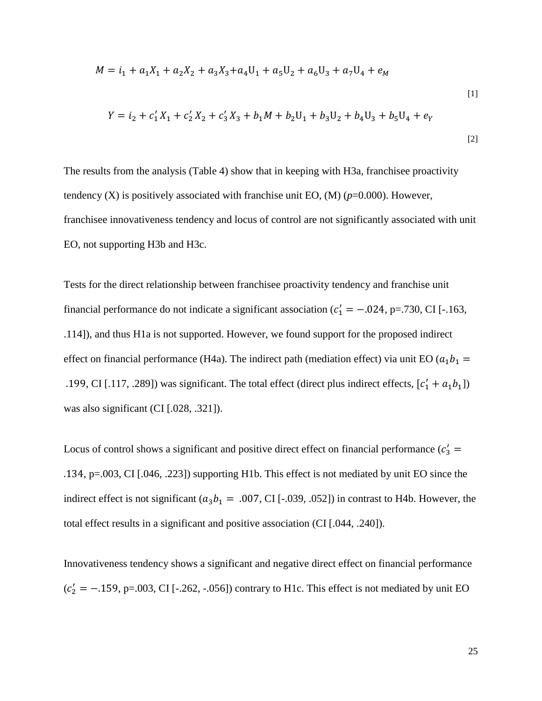$$
M = i_1 + a_1 X_1 + a_2 X_2 + a_3 X_3 + a_4 U_1 + a_5 U_2 + a_6 U_3 + a_7 U_4 + e_M
$$
  
\n
$$
Y = i_2 + c_1' X_1 + c_2' X_2 + c_3' X_3 + b_1 M + b_2 U_1 + b_3 U_2 + b_4 U_3 + b_5 U_4 + e_Y
$$
  
\n[1]

The results from the analysis (Table 4) show that in keeping with H3a, franchisee proactivity tendency  $(X)$  is positively associated with franchise unit EO,  $(M)$  ( $p=0.000$ ). However, franchisee innovativeness tendency and locus of control are not significantly associated with unit EO, not supporting H3b and H3c.

Tests for the direct relationship between franchisee proactivity tendency and franchise unit financial performance do not indicate a significant association ( $c'_1 = -.024$ , p=.730, CI [-.163, .114]), and thus H1a is not supported. However, we found support for the proposed indirect effect on financial performance (H4a). The indirect path (mediation effect) via unit EO ( $a_1 b_1$  = .199, CI [.117, .289]) was significant. The total effect (direct plus indirect effects,  $[c'_1 + a_1b_1]$ ) was also significant (CI [.028, .321]).

Locus of control shows a significant and positive direct effect on financial performance  $(c'_3 = c'_3)$ .134, p=.003, CI [.046, .223]) supporting H1b. This effect is not mediated by unit EO since the indirect effect is not significant ( $a_3b_1 = .007$ , CI [-.039, .052]) in contrast to H4b. However, the total effect results in a significant and positive association (CI [.044, .240]).

Innovativeness tendency shows a significant and negative direct effect on financial performance  $(c'_2 = -.159, p=.003, CI [-.262, -.056])$  contrary to H1c. This effect is not mediated by unit EO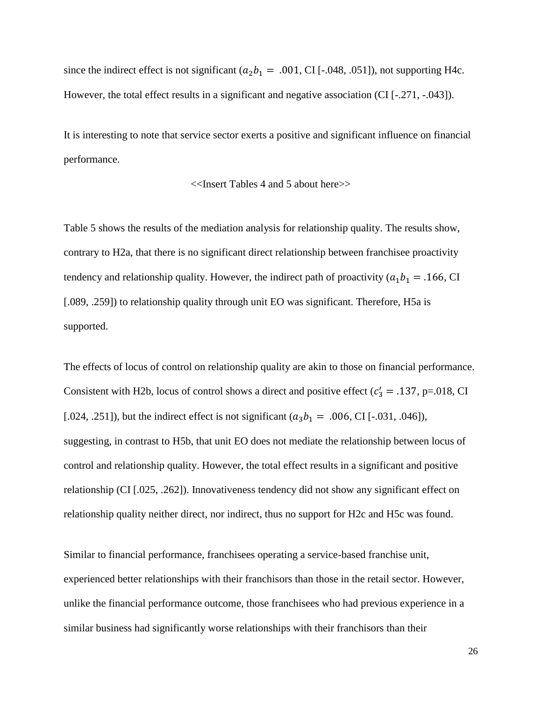since the indirect effect is not significant ( $a_2b_1 = .001$ , CI [-.048, .051]), not supporting H4c. However, the total effect results in a significant and negative association (CI [-.271, -.043]).

It is interesting to note that service sector exerts a positive and significant influence on financial performance.

<<Insert Tables 4 and 5 about here>>

Table 5 shows the results of the mediation analysis for relationship quality. The results show, contrary to H2a, that there is no significant direct relationship between franchisee proactivity tendency and relationship quality. However, the indirect path of proactivity ( $a_1 b_1 = .166$ , CI [.089, .259]) to relationship quality through unit EO was significant. Therefore, H5a is supported.

The effects of locus of control on relationship quality are akin to those on financial performance. Consistent with H2b, locus of control shows a direct and positive effect ( $c'_3 = .137$ , p=.018, CI [.024, .251]), but the indirect effect is not significant  $(a_3b_1 = .006, CI[-.031, .046])$ , suggesting, in contrast to H5b, that unit EO does not mediate the relationship between locus of control and relationship quality. However, the total effect results in a significant and positive relationship (CI [.025, .262]). Innovativeness tendency did not show any significant effect on relationship quality neither direct, nor indirect, thus no support for H2c and H5c was found.

Similar to financial performance, franchisees operating a service-based franchise unit, experienced better relationships with their franchisors than those in the retail sector. However, unlike the financial performance outcome, those franchisees who had previous experience in a similar business had significantly worse relationships with their franchisors than their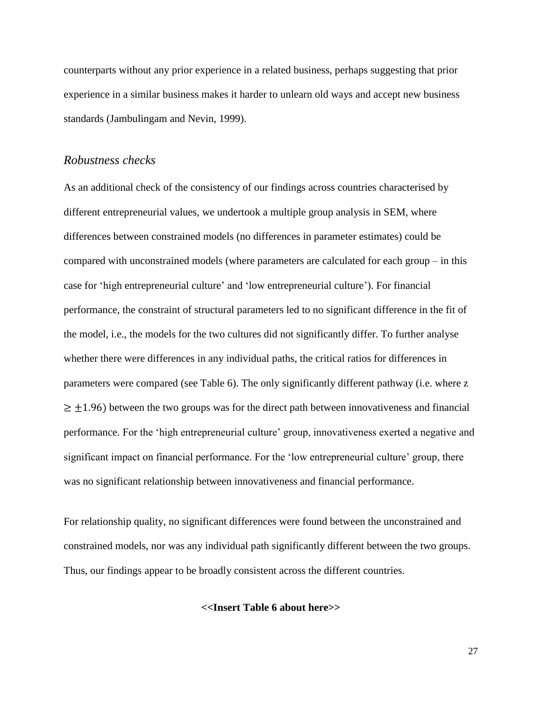counterparts without any prior experience in a related business, perhaps suggesting that prior experience in a similar business makes it harder to unlearn old ways and accept new business standards (Jambulingam and Nevin, 1999).

#### *Robustness checks*

As an additional check of the consistency of our findings across countries characterised by different entrepreneurial values, we undertook a multiple group analysis in SEM, where differences between constrained models (no differences in parameter estimates) could be compared with unconstrained models (where parameters are calculated for each group – in this case for 'high entrepreneurial culture' and 'low entrepreneurial culture'). For financial performance, the constraint of structural parameters led to no significant difference in the fit of the model, i.e., the models for the two cultures did not significantly differ. To further analyse whether there were differences in any individual paths, the critical ratios for differences in parameters were compared (see Table 6). The only significantly different pathway (i.e. where z  $\geq \pm 1.96$ ) between the two groups was for the direct path between innovativeness and financial performance. For the 'high entrepreneurial culture' group, innovativeness exerted a negative and significant impact on financial performance. For the 'low entrepreneurial culture' group, there was no significant relationship between innovativeness and financial performance.

For relationship quality, no significant differences were found between the unconstrained and constrained models, nor was any individual path significantly different between the two groups. Thus, our findings appear to be broadly consistent across the different countries.

**<<Insert Table 6 about here>>**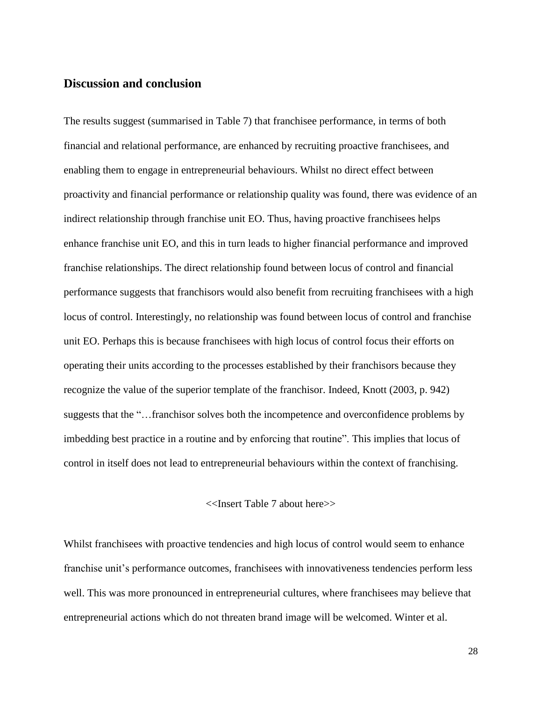## **Discussion and conclusion**

The results suggest (summarised in Table 7) that franchisee performance, in terms of both financial and relational performance, are enhanced by recruiting proactive franchisees, and enabling them to engage in entrepreneurial behaviours. Whilst no direct effect between proactivity and financial performance or relationship quality was found, there was evidence of an indirect relationship through franchise unit EO. Thus, having proactive franchisees helps enhance franchise unit EO, and this in turn leads to higher financial performance and improved franchise relationships. The direct relationship found between locus of control and financial performance suggests that franchisors would also benefit from recruiting franchisees with a high locus of control. Interestingly, no relationship was found between locus of control and franchise unit EO. Perhaps this is because franchisees with high locus of control focus their efforts on operating their units according to the processes established by their franchisors because they recognize the value of the superior template of the franchisor. Indeed, Knott (2003, p. 942) suggests that the "…franchisor solves both the incompetence and overconfidence problems by imbedding best practice in a routine and by enforcing that routine". This implies that locus of control in itself does not lead to entrepreneurial behaviours within the context of franchising.

#### <<Insert Table 7 about here>>

Whilst franchisees with proactive tendencies and high locus of control would seem to enhance franchise unit's performance outcomes, franchisees with innovativeness tendencies perform less well. This was more pronounced in entrepreneurial cultures, where franchisees may believe that entrepreneurial actions which do not threaten brand image will be welcomed. Winter et al.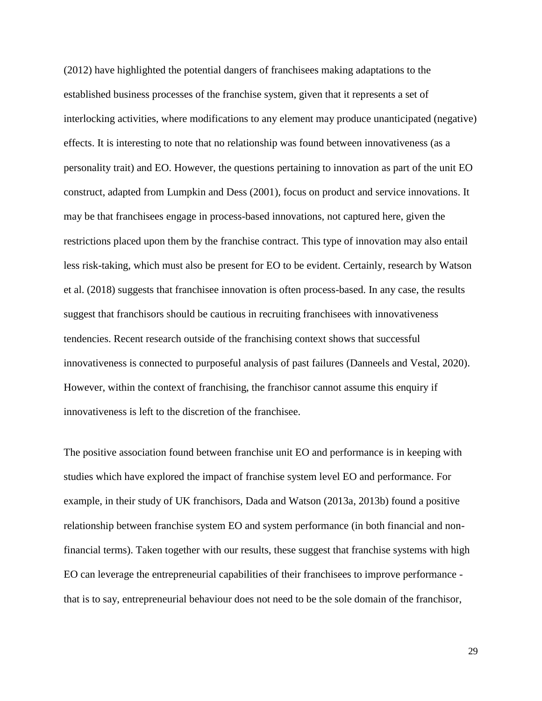(2012) have highlighted the potential dangers of franchisees making adaptations to the established business processes of the franchise system, given that it represents a set of interlocking activities, where modifications to any element may produce unanticipated (negative) effects. It is interesting to note that no relationship was found between innovativeness (as a personality trait) and EO. However, the questions pertaining to innovation as part of the unit EO construct, adapted from Lumpkin and Dess (2001), focus on product and service innovations. It may be that franchisees engage in process-based innovations, not captured here, given the restrictions placed upon them by the franchise contract. This type of innovation may also entail less risk-taking, which must also be present for EO to be evident. Certainly, research by Watson et al. (2018) suggests that franchisee innovation is often process-based. In any case, the results suggest that franchisors should be cautious in recruiting franchisees with innovativeness tendencies. Recent research outside of the franchising context shows that successful innovativeness is connected to purposeful analysis of past failures (Danneels and Vestal, 2020). However, within the context of franchising, the franchisor cannot assume this enquiry if innovativeness is left to the discretion of the franchisee.

The positive association found between franchise unit EO and performance is in keeping with studies which have explored the impact of franchise system level EO and performance. For example, in their study of UK franchisors, Dada and Watson (2013a, 2013b) found a positive relationship between franchise system EO and system performance (in both financial and nonfinancial terms). Taken together with our results, these suggest that franchise systems with high EO can leverage the entrepreneurial capabilities of their franchisees to improve performance that is to say, entrepreneurial behaviour does not need to be the sole domain of the franchisor,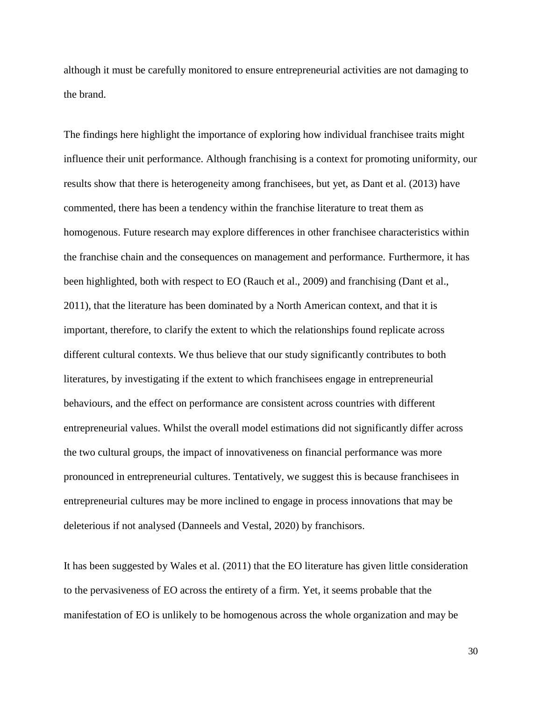although it must be carefully monitored to ensure entrepreneurial activities are not damaging to the brand.

The findings here highlight the importance of exploring how individual franchisee traits might influence their unit performance. Although franchising is a context for promoting uniformity, our results show that there is heterogeneity among franchisees, but yet, as Dant et al. (2013) have commented, there has been a tendency within the franchise literature to treat them as homogenous. Future research may explore differences in other franchisee characteristics within the franchise chain and the consequences on management and performance. Furthermore, it has been highlighted, both with respect to EO (Rauch et al., 2009) and franchising (Dant et al., 2011), that the literature has been dominated by a North American context, and that it is important, therefore, to clarify the extent to which the relationships found replicate across different cultural contexts. We thus believe that our study significantly contributes to both literatures, by investigating if the extent to which franchisees engage in entrepreneurial behaviours, and the effect on performance are consistent across countries with different entrepreneurial values. Whilst the overall model estimations did not significantly differ across the two cultural groups, the impact of innovativeness on financial performance was more pronounced in entrepreneurial cultures. Tentatively, we suggest this is because franchisees in entrepreneurial cultures may be more inclined to engage in process innovations that may be deleterious if not analysed (Danneels and Vestal, 2020) by franchisors.

It has been suggested by Wales et al. (2011) that the EO literature has given little consideration to the pervasiveness of EO across the entirety of a firm. Yet, it seems probable that the manifestation of EO is unlikely to be homogenous across the whole organization and may be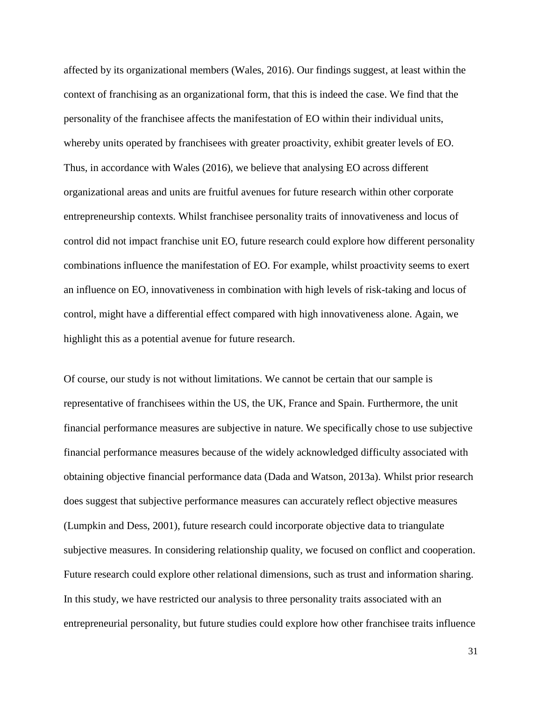affected by its organizational members (Wales, 2016). Our findings suggest, at least within the context of franchising as an organizational form, that this is indeed the case. We find that the personality of the franchisee affects the manifestation of EO within their individual units, whereby units operated by franchisees with greater proactivity, exhibit greater levels of EO. Thus, in accordance with Wales (2016), we believe that analysing EO across different organizational areas and units are fruitful avenues for future research within other corporate entrepreneurship contexts. Whilst franchisee personality traits of innovativeness and locus of control did not impact franchise unit EO, future research could explore how different personality combinations influence the manifestation of EO. For example, whilst proactivity seems to exert an influence on EO, innovativeness in combination with high levels of risk-taking and locus of control, might have a differential effect compared with high innovativeness alone. Again, we highlight this as a potential avenue for future research.

Of course, our study is not without limitations. We cannot be certain that our sample is representative of franchisees within the US, the UK, France and Spain. Furthermore, the unit financial performance measures are subjective in nature. We specifically chose to use subjective financial performance measures because of the widely acknowledged difficulty associated with obtaining objective financial performance data (Dada and Watson, 2013a). Whilst prior research does suggest that subjective performance measures can accurately reflect objective measures (Lumpkin and Dess, 2001), future research could incorporate objective data to triangulate subjective measures. In considering relationship quality, we focused on conflict and cooperation. Future research could explore other relational dimensions, such as trust and information sharing. In this study, we have restricted our analysis to three personality traits associated with an entrepreneurial personality, but future studies could explore how other franchisee traits influence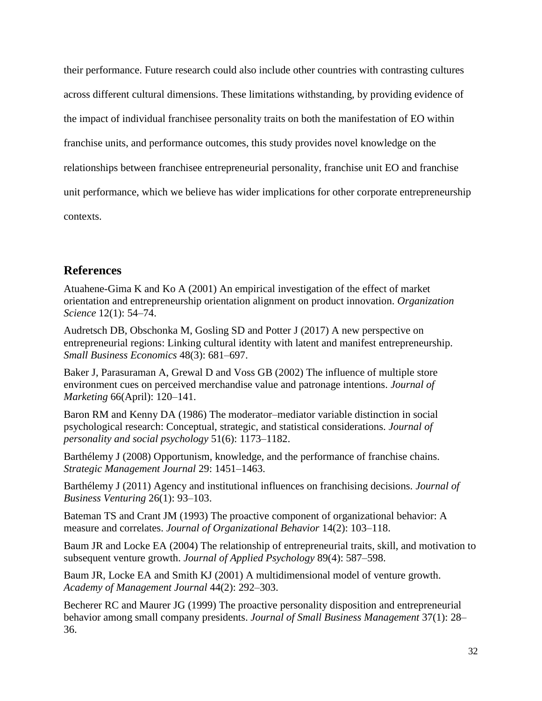their performance. Future research could also include other countries with contrasting cultures across different cultural dimensions. These limitations withstanding, by providing evidence of the impact of individual franchisee personality traits on both the manifestation of EO within franchise units, and performance outcomes, this study provides novel knowledge on the relationships between franchisee entrepreneurial personality, franchise unit EO and franchise unit performance, which we believe has wider implications for other corporate entrepreneurship contexts.

# **References**

Atuahene-Gima K and Ko A (2001) An empirical investigation of the effect of market orientation and entrepreneurship orientation alignment on product innovation. *Organization Science* 12(1): 54–74.

Audretsch DB, Obschonka M, Gosling SD and Potter J (2017) A new perspective on entrepreneurial regions: Linking cultural identity with latent and manifest entrepreneurship. *Small Business Economics* 48(3): 681–697.

Baker J, Parasuraman A, Grewal D and Voss GB (2002) The influence of multiple store environment cues on perceived merchandise value and patronage intentions. *Journal of Marketing* 66(April): 120–141.

Baron RM and Kenny DA (1986) The moderator–mediator variable distinction in social psychological research: Conceptual, strategic, and statistical considerations. *Journal of personality and social psychology* 51(6): 1173–1182.

Barthélemy J (2008) Opportunism, knowledge, and the performance of franchise chains. *Strategic Management Journal* 29: 1451–1463.

Barthélemy J (2011) Agency and institutional influences on franchising decisions. *Journal of Business Venturing* 26(1): 93–103.

Bateman TS and Crant JM (1993) The proactive component of organizational behavior: A measure and correlates. *Journal of Organizational Behavior* 14(2): 103–118.

Baum JR and Locke EA (2004) The relationship of entrepreneurial traits, skill, and motivation to subsequent venture growth. *Journal of Applied Psychology* 89(4): 587–598.

Baum JR, Locke EA and Smith KJ (2001) A multidimensional model of venture growth. *Academy of Management Journal* 44(2): 292–303.

Becherer RC and Maurer JG (1999) The proactive personality disposition and entrepreneurial behavior among small company presidents. *Journal of Small Business Management* 37(1): 28– 36.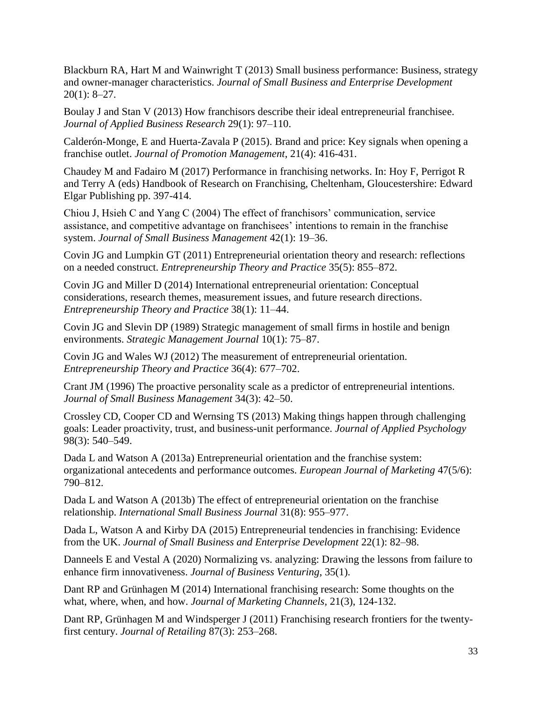Blackburn RA, Hart M and Wainwright T (2013) Small business performance: Business, strategy and owner-manager characteristics. *Journal of Small Business and Enterprise Development* 20(1): 8–27.

Boulay J and Stan V (2013) How franchisors describe their ideal entrepreneurial franchisee. *Journal of Applied Business Research* 29(1): 97–110.

Calderón-Monge, E and Huerta-Zavala P (2015). Brand and price: Key signals when opening a franchise outlet. *Journal of Promotion Management*, 21(4): 416-431.

Chaudey M and Fadairo M (2017) Performance in franchising networks. In: Hoy F, Perrigot R and Terry A (eds) Handbook of Research on Franchising, Cheltenham, Gloucestershire: Edward Elgar Publishing pp. 397-414.

Chiou J, Hsieh C and Yang C (2004) The effect of franchisors' communication, service assistance, and competitive advantage on franchisees' intentions to remain in the franchise system. *Journal of Small Business Management* 42(1): 19–36.

Covin JG and Lumpkin GT (2011) Entrepreneurial orientation theory and research: reflections on a needed construct. *Entrepreneurship Theory and Practice* 35(5): 855–872.

Covin JG and Miller D (2014) International entrepreneurial orientation: Conceptual considerations, research themes, measurement issues, and future research directions. *Entrepreneurship Theory and Practice* 38(1): 11–44.

Covin JG and Slevin DP (1989) Strategic management of small firms in hostile and benign environments. *Strategic Management Journal* 10(1): 75–87.

Covin JG and Wales WJ (2012) The measurement of entrepreneurial orientation. *Entrepreneurship Theory and Practice* 36(4): 677–702.

Crant JM (1996) The proactive personality scale as a predictor of entrepreneurial intentions. *Journal of Small Business Management* 34(3): 42–50.

Crossley CD, Cooper CD and Wernsing TS (2013) Making things happen through challenging goals: Leader proactivity, trust, and business-unit performance. *Journal of Applied Psychology*  98(3): 540–549.

Dada L and Watson A (2013a) Entrepreneurial orientation and the franchise system: organizational antecedents and performance outcomes. *European Journal of Marketing* 47(5/6): 790–812.

Dada L and Watson A (2013b) The effect of entrepreneurial orientation on the franchise relationship. *International Small Business Journal* 31(8): 955–977.

Dada L, Watson A and Kirby DA (2015) Entrepreneurial tendencies in franchising: Evidence from the UK. *Journal of Small Business and Enterprise Development* 22(1): 82–98.

Danneels E and Vestal A (2020) Normalizing vs. analyzing: Drawing the lessons from failure to enhance firm innovativeness. *Journal of Business Venturing*, 35(1).

Dant RP and Grünhagen M (2014) International franchising research: Some thoughts on the what, where, when, and how. *Journal of Marketing Channels,* 21(3), 124-132.

Dant RP, Grünhagen M and Windsperger J (2011) Franchising research frontiers for the twentyfirst century. *Journal of Retailing* 87(3): 253–268.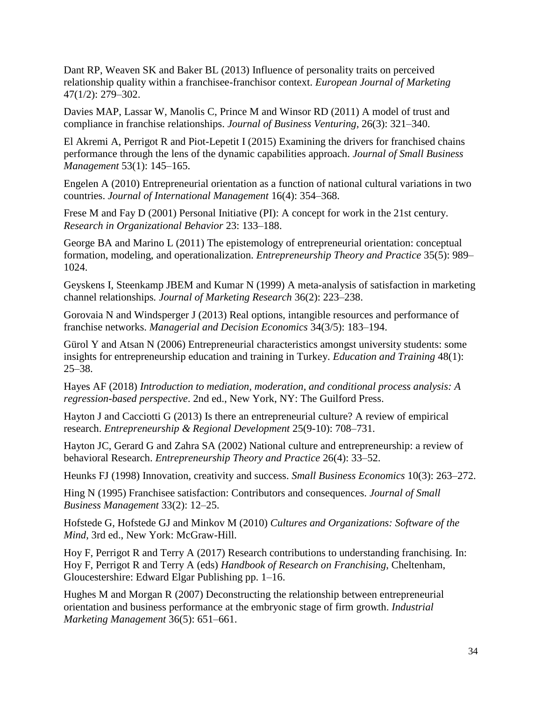Dant RP, Weaven SK and Baker BL (2013) Influence of personality traits on perceived relationship quality within a franchisee-franchisor context. *European Journal of Marketing* 47(1/2): 279–302.

Davies MAP, Lassar W, Manolis C, Prince M and Winsor RD (2011) A model of trust and compliance in franchise relationships. *Journal of Business Venturing,* 26(3): 321–340.

El Akremi A, Perrigot R and Piot-Lepetit I (2015) Examining the drivers for franchised chains performance through the lens of the dynamic capabilities approach. *Journal of Small Business Management* 53(1): 145–165.

Engelen A (2010) Entrepreneurial orientation as a function of national cultural variations in two countries. *Journal of International Management* 16(4): 354–368.

Frese M and Fay D (2001) Personal Initiative (PI): A concept for work in the 21st century. *Research in Organizational Behavior* 23: 133–188.

George BA and Marino L (2011) The epistemology of entrepreneurial orientation: conceptual formation, modeling, and operationalization. *Entrepreneurship Theory and Practice* 35(5): 989– 1024.

Geyskens I, Steenkamp JBEM and Kumar N (1999) A meta-analysis of satisfaction in marketing channel relationships*. Journal of Marketing Research* 36(2): 223–238.

Gorovaia N and Windsperger J (2013) Real options, intangible resources and performance of franchise networks. *Managerial and Decision Economics* 34(3/5): 183–194.

Gürol Y and Atsan N (2006) Entrepreneurial characteristics amongst university students: some insights for entrepreneurship education and training in Turkey. *Education and Training* 48(1): 25–38.

Hayes AF (2018) *Introduction to mediation, moderation, and conditional process analysis: A regression-based perspective*. 2nd ed., New York, NY: The Guilford Press.

Hayton J and Cacciotti G (2013) Is there an entrepreneurial culture? A review of empirical research. *Entrepreneurship & Regional Development* 25(9-10): 708–731.

Hayton JC, Gerard G and Zahra SA (2002) National culture and entrepreneurship: a review of behavioral Research. *Entrepreneurship Theory and Practice* 26(4): 33–52.

Heunks FJ (1998) Innovation, creativity and success. *Small Business Economics* 10(3): 263–272.

Hing N (1995) Franchisee satisfaction: Contributors and consequences. *Journal of Small Business Management* 33(2): 12–25.

Hofstede G, Hofstede GJ and Minkov M (2010) *Cultures and Organizations: Software of the Mind*, 3rd ed., New York: McGraw-Hill.

Hoy F, Perrigot R and Terry A (2017) Research contributions to understanding franchising. In: Hoy F, Perrigot R and Terry A (eds) *Handbook of Research on Franchising*, Cheltenham, Gloucestershire: Edward Elgar Publishing pp. 1–16.

Hughes M and Morgan R (2007) Deconstructing the relationship between entrepreneurial orientation and business performance at the embryonic stage of firm growth. *Industrial Marketing Management* 36(5): 651–661.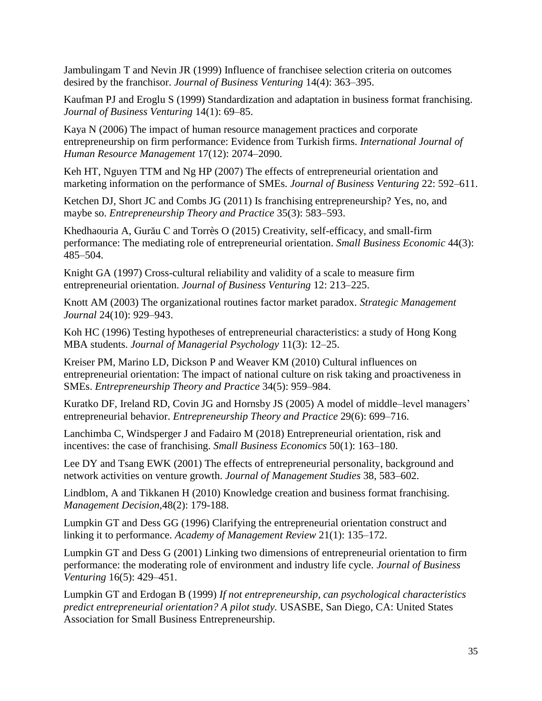Jambulingam T and Nevin JR (1999) Influence of franchisee selection criteria on outcomes desired by the franchisor. *Journal of Business Venturing* 14(4): 363–395.

Kaufman PJ and Eroglu S (1999) Standardization and adaptation in business format franchising. *Journal of Business Venturing* 14(1): 69–85.

Kaya N (2006) The impact of human resource management practices and corporate entrepreneurship on firm performance: Evidence from Turkish firms. *International Journal of Human Resource Management* 17(12): 2074–2090.

Keh HT, Nguyen TTM and Ng HP (2007) The effects of entrepreneurial orientation and marketing information on the performance of SMEs. *Journal of Business Venturing* 22: 592–611.

Ketchen DJ, Short JC and Combs JG (2011) Is franchising entrepreneurship? Yes, no, and maybe so. *Entrepreneurship Theory and Practice* 35(3): 583–593.

Khedhaouria A, Gurău C and Torrès O (2015) Creativity, self-efficacy, and small-firm performance: The mediating role of entrepreneurial orientation. *Small Business Economic* 44(3): 485–504.

Knight GA (1997) Cross-cultural reliability and validity of a scale to measure firm entrepreneurial orientation. *Journal of Business Venturing* 12: 213–225.

Knott AM (2003) The organizational routines factor market paradox. *Strategic Management Journal* 24(10): 929–943.

Koh HC (1996) Testing hypotheses of entrepreneurial characteristics: a study of Hong Kong MBA students. *Journal of Managerial Psychology* 11(3): 12–25.

Kreiser PM, Marino LD, Dickson P and Weaver KM (2010) Cultural influences on entrepreneurial orientation: The impact of national culture on risk taking and proactiveness in SMEs. *Entrepreneurship Theory and Practice* 34(5): 959–984.

Kuratko DF, Ireland RD, Covin JG and Hornsby JS (2005) A model of middle–level managers' entrepreneurial behavior. *Entrepreneurship Theory and Practice* 29(6): 699–716.

Lanchimba C, Windsperger J and Fadairo M (2018) Entrepreneurial orientation, risk and incentives: the case of franchising. *Small Business Economics* 50(1): 163–180.

Lee DY and Tsang EWK (2001) The effects of entrepreneurial personality, background and network activities on venture growth. *Journal of Management Studies* 38, 583–602.

Lindblom, A and Tikkanen H (2010) Knowledge creation and business format franchising. *Management Decision,*48(2): 179-188.

Lumpkin GT and Dess GG (1996) Clarifying the entrepreneurial orientation construct and linking it to performance. *Academy of Management Review* 21(1): 135–172.

Lumpkin GT and Dess G (2001) Linking two dimensions of entrepreneurial orientation to firm performance: the moderating role of environment and industry life cycle. *Journal of Business Venturing* 16(5): 429–451.

Lumpkin GT and Erdogan B (1999) *If not entrepreneurship, can psychological characteristics predict entrepreneurial orientation? A pilot study.* USASBE, San Diego, CA: United States Association for Small Business Entrepreneurship.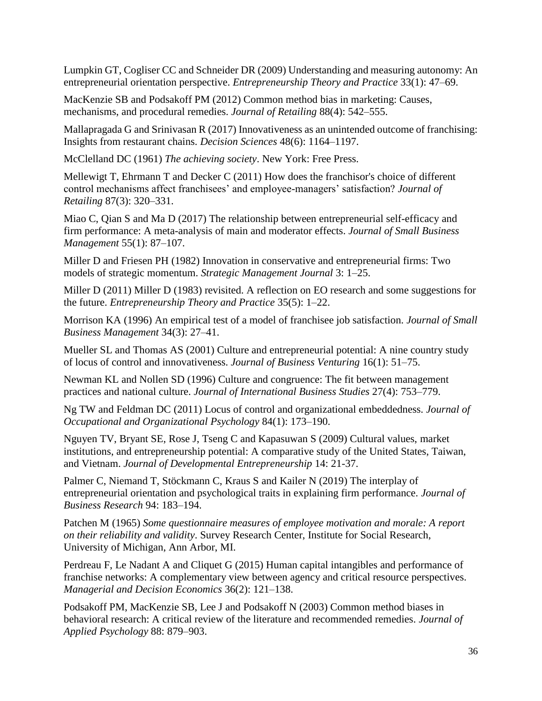Lumpkin GT, Cogliser CC and Schneider DR (2009) Understanding and measuring autonomy: An entrepreneurial orientation perspective. *Entrepreneurship Theory and Practice* 33(1): 47–69.

MacKenzie SB and Podsakoff PM (2012) Common method bias in marketing: Causes, mechanisms, and procedural remedies. *Journal of Retailing* 88(4): 542–555.

Mallapragada G and Srinivasan R (2017) Innovativeness as an unintended outcome of franchising: Insights from restaurant chains. *Decision Sciences* 48(6): 1164–1197.

McClelland DC (1961) *The achieving society*. New York: Free Press.

Mellewigt T, Ehrmann T and Decker C (2011) How does the franchisor's choice of different control mechanisms affect franchisees' and employee-managers' satisfaction? *Journal of Retailing* 87(3): 320–331.

Miao C, Qian S and Ma D (2017) The relationship between entrepreneurial self-efficacy and firm performance: A meta-analysis of main and moderator effects. *Journal of Small Business Management* 55(1): 87–107.

Miller D and Friesen PH (1982) Innovation in conservative and entrepreneurial firms: Two models of strategic momentum. *Strategic Management Journal* 3: 1–25.

Miller D (2011) Miller D (1983) revisited. A reflection on EO research and some suggestions for the future. *Entrepreneurship Theory and Practice* 35(5): 1–22.

Morrison KA (1996) An empirical test of a model of franchisee job satisfaction. *Journal of Small Business Management* 34(3): 27–41.

Mueller SL and Thomas AS (2001) Culture and entrepreneurial potential: A nine country study of locus of control and innovativeness. *Journal of Business Venturing* 16(1): 51–75.

Newman KL and Nollen SD (1996) Culture and congruence: The fit between management practices and national culture. *Journal of International Business Studies* 27(4): 753–779.

Ng TW and Feldman DC (2011) Locus of control and organizational embeddedness. *Journal of Occupational and Organizational Psychology* 84(1): 173–190.

Nguyen TV, Bryant SE, Rose J, Tseng C and Kapasuwan S (2009) Cultural values, market institutions, and entrepreneurship potential: A comparative study of the United States, Taiwan, and Vietnam. *Journal of Developmental Entrepreneurship* 14: 21-37.

Palmer C, Niemand T, Stöckmann C, Kraus S and Kailer N (2019) The interplay of entrepreneurial orientation and psychological traits in explaining firm performance. *Journal of Business Research* 94: 183–194.

Patchen M (1965) *Some questionnaire measures of employee motivation and morale: A report on their reliability and validity*. Survey Research Center, Institute for Social Research, University of Michigan, Ann Arbor, MI.

Perdreau F, Le Nadant A and Cliquet G (2015) Human capital intangibles and performance of franchise networks: A complementary view between agency and critical resource perspectives. *Managerial and Decision Economics* 36(2): 121–138.

Podsakoff PM, MacKenzie SB, Lee J and Podsakoff N (2003) Common method biases in behavioral research: A critical review of the literature and recommended remedies. *Journal of Applied Psychology* 88: 879–903.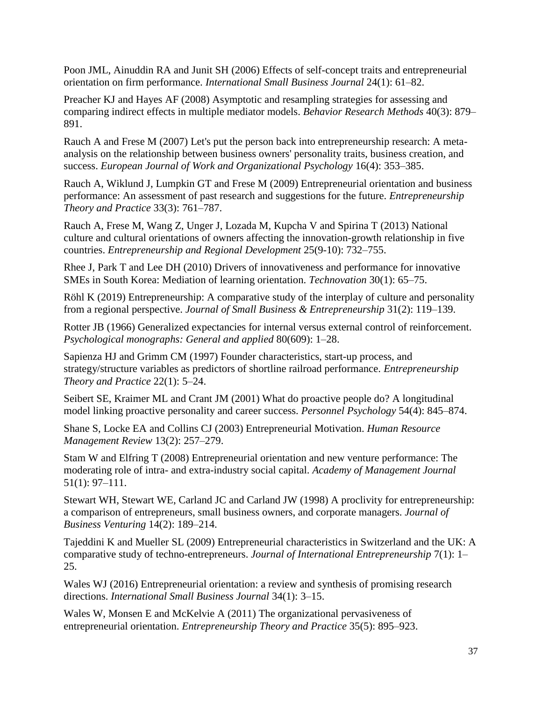Poon JML, Ainuddin RA and Junit SH (2006) Effects of self-concept traits and entrepreneurial orientation on firm performance. *International Small Business Journal* 24(1): 61–82.

Preacher KJ and Hayes AF (2008) Asymptotic and resampling strategies for assessing and comparing indirect effects in multiple mediator models. *Behavior Research Methods* 40(3): 879– 891.

Rauch A and Frese M (2007) Let's put the person back into entrepreneurship research: A metaanalysis on the relationship between business owners' personality traits, business creation, and success. *European Journal of Work and Organizational Psychology* 16(4): 353–385.

Rauch A, Wiklund J, Lumpkin GT and Frese M (2009) Entrepreneurial orientation and business performance: An assessment of past research and suggestions for the future. *Entrepreneurship Theory and Practice* 33(3): 761–787.

Rauch A, Frese M, Wang Z, Unger J, Lozada M, Kupcha V and Spirina T (2013) National culture and cultural orientations of owners affecting the innovation-growth relationship in five countries. *Entrepreneurship and Regional Development* 25(9-10): 732–755.

Rhee J, Park T and Lee DH (2010) Drivers of innovativeness and performance for innovative SMEs in South Korea: Mediation of learning orientation. *Technovation* 30(1): 65–75.

Röhl K (2019) Entrepreneurship: A comparative study of the interplay of culture and personality from a regional perspective. *Journal of Small Business & Entrepreneurship* 31(2): 119–139.

Rotter JB (1966) Generalized expectancies for internal versus external control of reinforcement. *Psychological monographs: General and applied* 80(609): 1–28.

Sapienza HJ and Grimm CM (1997) Founder characteristics, start-up process, and strategy/structure variables as predictors of shortline railroad performance. *Entrepreneurship Theory and Practice* 22(1): 5–24.

Seibert SE, Kraimer ML and Crant JM (2001) What do proactive people do? A longitudinal model linking proactive personality and career success. *Personnel Psychology* 54(4): 845–874.

Shane S, Locke EA and Collins CJ (2003) Entrepreneurial Motivation. *Human Resource Management Review* 13(2): 257–279.

Stam W and Elfring T (2008) Entrepreneurial orientation and new venture performance: The moderating role of intra- and extra-industry social capital. *Academy of Management Journal* 51(1): 97–111.

Stewart WH, Stewart WE, Carland JC and Carland JW (1998) A proclivity for entrepreneurship: a comparison of entrepreneurs, small business owners, and corporate managers. *Journal of Business Venturing* 14(2): 189–214.

Tajeddini K and Mueller SL (2009) Entrepreneurial characteristics in Switzerland and the UK: A comparative study of techno-entrepreneurs. *Journal of International Entrepreneurship* 7(1): 1– 25.

Wales WJ (2016) Entrepreneurial orientation: a review and synthesis of promising research directions. *International Small Business Journal* 34(1): 3–15.

Wales W, Monsen E and McKelvie A (2011) The organizational pervasiveness of entrepreneurial orientation. *Entrepreneurship Theory and Practice* 35(5): 895–923.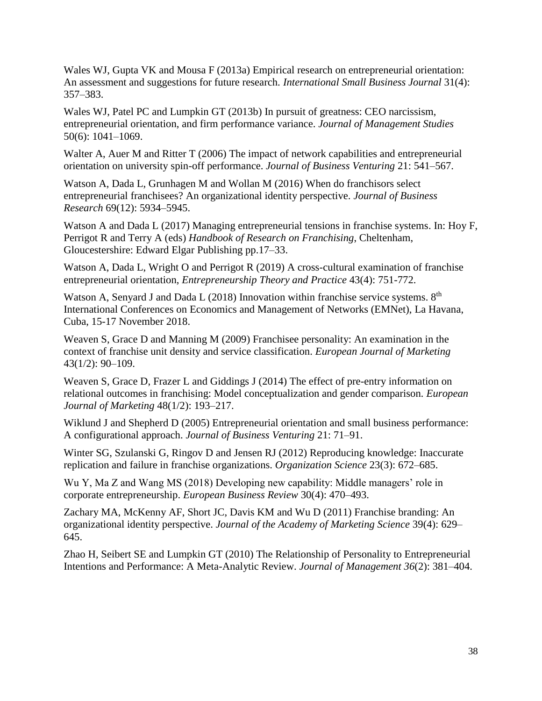Wales WJ, Gupta VK and Mousa F (2013a) Empirical research on entrepreneurial orientation: An assessment and suggestions for future research. *International Small Business Journal* 31(4): 357–383.

Wales WJ, Patel PC and Lumpkin GT (2013b) In pursuit of greatness: CEO narcissism, entrepreneurial orientation, and firm performance variance. *Journal of Management Studies* 50(6): 1041–1069.

Walter A, Auer M and Ritter T (2006) The impact of network capabilities and entrepreneurial orientation on university spin-off performance. *Journal of Business Venturing* 21: 541–567.

Watson A, Dada L, Grunhagen M and Wollan M (2016) When do franchisors select entrepreneurial franchisees? An organizational identity perspective. *Journal of Business Research* 69(12): 5934–5945.

Watson A and Dada L (2017) Managing entrepreneurial tensions in franchise systems. In: Hoy F, Perrigot R and Terry A (eds) *Handbook of Research on Franchising*, Cheltenham, Gloucestershire: Edward Elgar Publishing pp.17–33.

Watson A, Dada L, Wright O and Perrigot R (2019) A cross-cultural examination of franchise entrepreneurial orientation, *Entrepreneurship Theory and Practice* 43(4): 751-772.

Watson A, Senyard J and Dada L (2018) Innovation within franchise service systems.  $8<sup>th</sup>$ International Conferences on Economics and Management of Networks (EMNet), La Havana, Cuba, 15-17 November 2018.

Weaven S, Grace D and Manning M (2009) Franchisee personality: An examination in the context of franchise unit density and service classification. *European Journal of Marketing* 43(1/2): 90–109.

Weaven S, Grace D, Frazer L and Giddings J (2014) The effect of pre-entry information on relational outcomes in franchising: Model conceptualization and gender comparison*. European Journal of Marketing* 48(1/2): 193–217.

Wiklund J and Shepherd D (2005) Entrepreneurial orientation and small business performance: A configurational approach. *Journal of Business Venturing* 21: 71–91.

Winter SG, Szulanski G, Ringov D and Jensen RJ (2012) Reproducing knowledge: Inaccurate replication and failure in franchise organizations. *Organization Science* 23(3): 672–685.

Wu Y, Ma Z and Wang MS (2018) Developing new capability: Middle managers' role in corporate entrepreneurship. *European Business Review* 30(4): 470–493.

Zachary MA, McKenny AF, Short JC, Davis KM and Wu D (2011) Franchise branding: An organizational identity perspective. *Journal of the Academy of Marketing Science* 39(4): 629– 645.

Zhao H, Seibert SE and Lumpkin GT (2010) The Relationship of Personality to Entrepreneurial Intentions and Performance: A Meta-Analytic Review. *Journal of Management 36*(2): 381–404.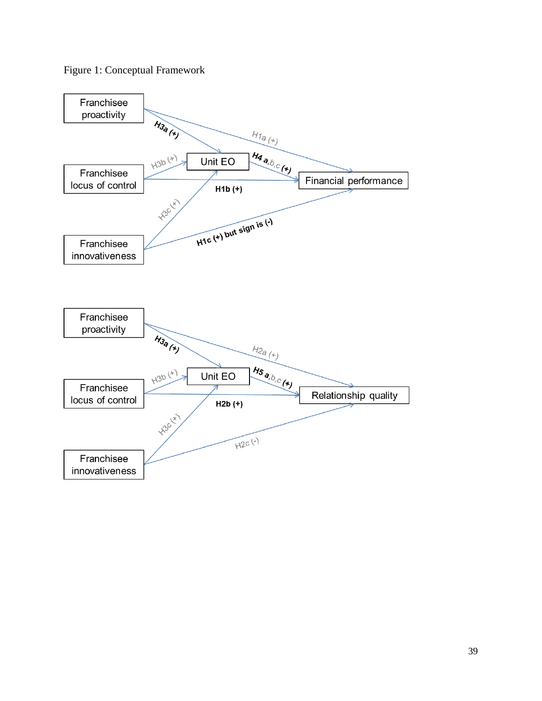

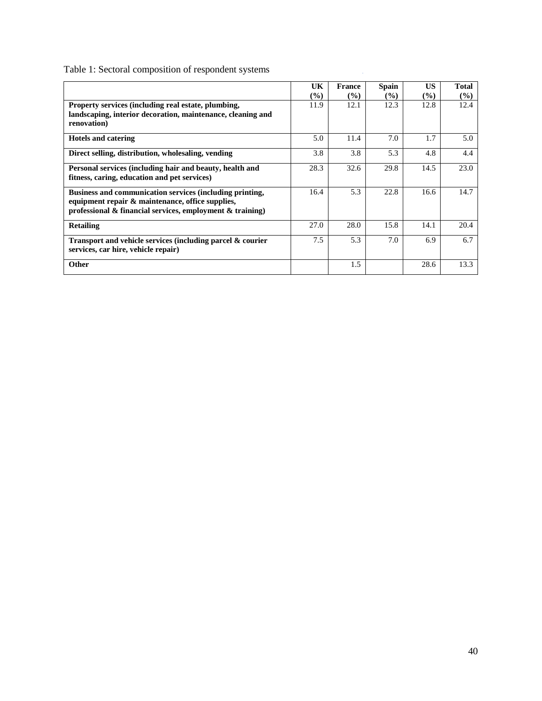Table 1: Sectoral composition of respondent systems

|                                                                                                                                                                                 | UK            | France | <b>Spain</b> | <b>US</b>     | <b>Total</b> |
|---------------------------------------------------------------------------------------------------------------------------------------------------------------------------------|---------------|--------|--------------|---------------|--------------|
|                                                                                                                                                                                 | $\frac{1}{2}$ | $($ %) | $($ %)       | $\frac{9}{6}$ | $(\%)$       |
| Property services (including real estate, plumbing,                                                                                                                             | 11.9          | 12.1   | 12.3         | 12.8          | 12.4         |
| landscaping, interior decoration, maintenance, cleaning and<br>renovation)                                                                                                      |               |        |              |               |              |
| <b>Hotels and catering</b>                                                                                                                                                      | 5.0           | 11.4   | 7.0          | 1.7           | 5.0          |
| Direct selling, distribution, wholesaling, vending                                                                                                                              | 3.8           | 3.8    | 5.3          | 4.8           | 4.4          |
| Personal services (including hair and beauty, health and<br>fitness, caring, education and pet services)                                                                        | 28.3          | 32.6   | 29.8         | 14.5          | 23.0         |
| Business and communication services (including printing,<br>equipment repair & maintenance, office supplies,<br>professional $\&$ financial services, employment $\&$ training) | 16.4          | 5.3    | 22.8         | 16.6          | 14.7         |
| <b>Retailing</b>                                                                                                                                                                | 27.0          | 28.0   | 15.8         | 14.1          | 20.4         |
| Transport and vehicle services (including parcel & courier<br>services, car hire, vehicle repair)                                                                               | 7.5           | 5.3    | 7.0          | 6.9           | 6.7          |
| <b>Other</b>                                                                                                                                                                    |               | 1.5    |              | 28.6          | 13.3         |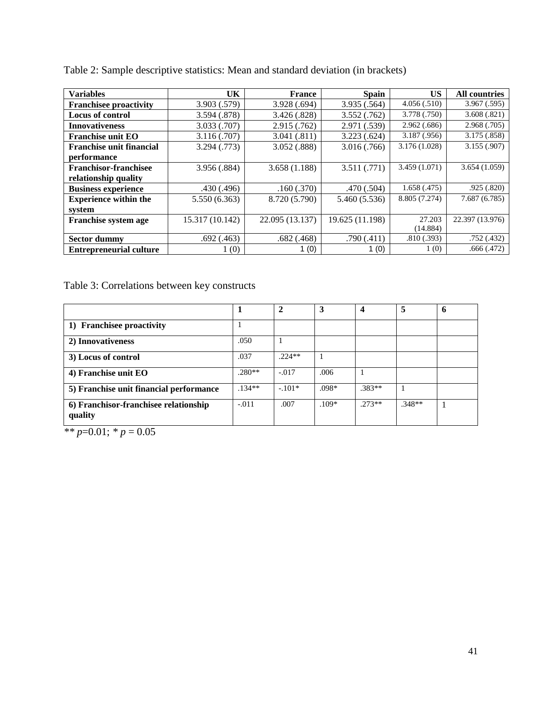| <b>Variables</b>                | UK              | <b>France</b>   | <b>Spain</b>    | US.           | <b>All countries</b> |
|---------------------------------|-----------------|-----------------|-----------------|---------------|----------------------|
| <b>Franchisee proactivity</b>   | 3.903 (.579)    | 3.928 (.694)    | 3.935 (.564)    | 4.056(.510)   | 3.967(.595)          |
| <b>Locus of control</b>         | 3.594 (.878)    | 3.426(.828)     | 3.552(.762)     | 3.778(.750)   | 3.608(.821)          |
| <b>Innovativeness</b>           | 3.033 (.707)    | 2.915(.762)     | 2.971 (.539)    | 2.962(.686)   | 2.968(.705)          |
| <b>Franchise unit EO</b>        | 3.116(.707)     | 3.041(.811)     | 3.223(.624)     | 3.187(.956)   | 3.175(.858)          |
| <b>Franchise unit financial</b> | 3.294 (.773)    | 3.052(.888)     | 3.016(.766)     | 3.176 (1.028) | 3.155(.907)          |
| performance                     |                 |                 |                 |               |                      |
| <b>Franchisor-franchisee</b>    | 3.956 (.884)    | 3.658(1.188)    | 3.511(.771)     | 3.459(1.071)  | 3.654(1.059)         |
| relationship quality            |                 |                 |                 |               |                      |
| <b>Business experience</b>      | .430(.496)      | .160(.370)      | .470 (.504)     | 1.658(.475)   | .925(.820)           |
| <b>Experience within the</b>    | 5.550 (6.363)   | 8.720 (5.790)   | 5.460 (5.536)   | 8.805 (7.274) | 7.687 (6.785)        |
| system                          |                 |                 |                 |               |                      |
| Franchise system age            | 15.317 (10.142) | 22.095 (13.137) | 19.625 (11.198) | 27.203        | 22.397 (13.976)      |
|                                 |                 |                 |                 | (14.884)      |                      |
| <b>Sector dummy</b>             | .692(.463)      | .682(.468)      | .790(.411)      | .810(.393)    | .752(.432)           |
| <b>Entrepreneurial culture</b>  | 1(0)            | 1(0)            | 1(0)            | 1(0)          | .666(.472)           |

Table 2: Sample descriptive statistics: Mean and standard deviation (in brackets)

Table 3: Correlations between key constructs

|                                                  |          |          | 3       |          | 5        | h |
|--------------------------------------------------|----------|----------|---------|----------|----------|---|
| 1) Franchisee proactivity                        |          |          |         |          |          |   |
| 2) Innovativeness                                | .050     |          |         |          |          |   |
| 3) Locus of control                              | .037     | $.224**$ |         |          |          |   |
| 4) Franchise unit EO                             | $.280**$ | $-.017$  | .006    |          |          |   |
| 5) Franchise unit financial performance          | $.134**$ | $-.101*$ | .098*   | $.383**$ |          |   |
| 6) Franchisor-franchisee relationship<br>quality | $-.011$  | .007     | $.109*$ | $.273**$ | $.348**$ |   |

 $*$  *r*=0.01;  $*$  *p* = 0.05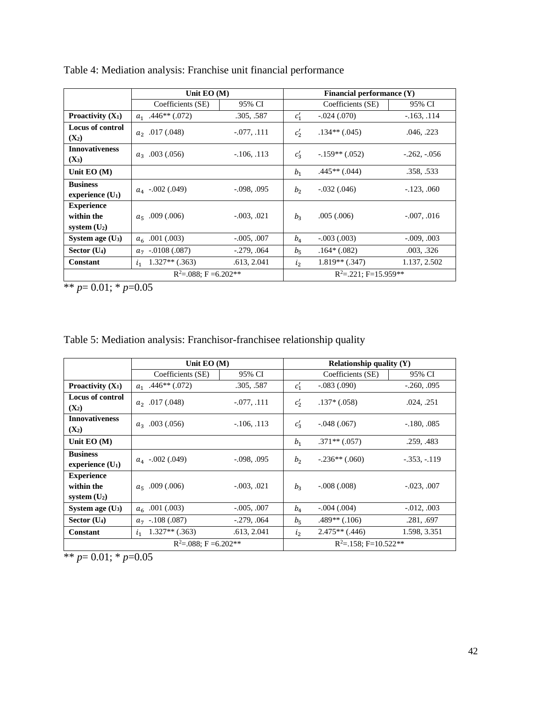|                                                   | Unit $EO(M)$                |               |                    | Financial performance $(Y)$ |                |
|---------------------------------------------------|-----------------------------|---------------|--------------------|-----------------------------|----------------|
|                                                   | Coefficients (SE)           | 95% CI        |                    | Coefficients (SE)           | 95% CI         |
| <b>Proactivity</b> $(X_1)$                        | $a_1$ .446** (.072)         | .305, .587    | $c_1'$             | $-.024(.070)$               | $-163, 114$    |
| Locus of control<br>$(X_2)$                       | $a_2$ .017 (.048)           | $-.077, .111$ | $c_2'$             | $.134**$ (.045)             | .046, .223     |
| <b>Innovativeness</b><br>$(X_3)$                  | $a_3$ .003 (.056)           | $-106, 113$   | $c_3'$             | $-.159**(.052)$             | $-.262, -.056$ |
| Unit $EO(M)$                                      |                             |               | b <sub>1</sub>     | $.445**(.044)$              | .358, .533     |
| <b>Business</b><br>experience $(U_1)$             | $a_4$ -.002 (.049)          | $-.098, .095$ | b <sub>2</sub>     | $-.032(.046)$               | $-123, .060$   |
| <b>Experience</b><br>within the<br>system $(U_2)$ | $a_{5}$ .009 (.006)         | $-.003, .021$ | $b_3$              | .005(.006)                  | $-.007, .016$  |
| System age $(U_3)$                                | $a_{6}$ .001 (.003)         | $-.005, .007$ | $b_4$              | $-.003(.003)$               | $-.009, .003$  |
| Sector $(U_4)$                                    | $a_7$ -.0108 (.087)         | $-.279, .064$ | $b_{\overline{5}}$ | $.164*(.082)$               | .003, .326     |
| <b>Constant</b>                                   | $1.327**$ (.363)<br>$i_{1}$ | .613, 2.041   | $\mathfrak{i}_2$   | $1.819**$ (.347)            | 1.137, 2.502   |
| $R^2 = 0.088$ : F = 6.202**                       |                             |               |                    | $R^2 = 221$ : F=15.959**    |                |

Table 4: Mediation analysis: Franchise unit financial performance

\*\* *p*= 0.01; \* *p*=0.05

|  | Table 5: Mediation analysis: Franchisor-franchisee relationship quality |  |  |  |  |  |
|--|-------------------------------------------------------------------------|--|--|--|--|--|
|  |                                                                         |  |  |  |  |  |

|                                                   | Unit $EO(M)$                       |                 |                    | Relationship quality $(Y)$ |                 |
|---------------------------------------------------|------------------------------------|-----------------|--------------------|----------------------------|-----------------|
|                                                   | Coefficients (SE)                  | 95% CI          |                    | Coefficients (SE)          | 95% CI          |
| Proactivity $(X_1)$                               | $a_1$ .446 <sup>**</sup> (.072)    | .305, .587      | $c_1'$             | $-.083(.090)$              | $-.260, .095$   |
| Locus of control<br>$(X_2)$                       | $a_2$ .017 (.048)                  | $-.077, .111$   | $c_2'$             | $.137*(.058)$              | .024, .251      |
| <b>Innovativeness</b><br>$(X_2)$                  | $a_3$ .003 (.056)                  | $-106, 113$     | $c_3'$             | $-.048(.067)$              | $-180, .085$    |
| Unit $EO(M)$                                      |                                    |                 | b <sub>1</sub>     | $.371**(.057)$             | .259, .483      |
| <b>Business</b><br>experience $(U_1)$             | $a_{4}$ -.002 (.049)               | $-0.098, 0.095$ | b <sub>2</sub>     | $-.236**(.060)$            | $-.353, -.119$  |
| <b>Experience</b><br>within the<br>system $(U_2)$ | $a_{5}$ .009 (.006)                | $-.003, .021$   | $b_3$              | $-.008(.008)$              | $-.023, .007$   |
| System age $(U_3)$                                | $a_6$ .001 (.003)                  | $-.005, .007$   | $b_4$              | $-.004(.004)$              | $-0.012, 0.003$ |
| Sector $(U_4)$                                    | $a_7$ -.108 (.087)                 | $-0.279, 0.064$ | $b_{5}$            | $.489**$ (.106)            | .281, .697      |
| <b>Constant</b>                                   | $1.327**$ (.363)<br>i <sub>1</sub> | .613, 2.041     | $\mathfrak{i}_{2}$ | $2.475**$ (.446)           | 1.598, 3.351    |
| $R^2 = 0.088$ : F = 6.202**                       |                                    |                 |                    | $R^2 = 158$ ; F=10.522**   |                 |

\*\* *p*= 0.01; \* *p*=0.05